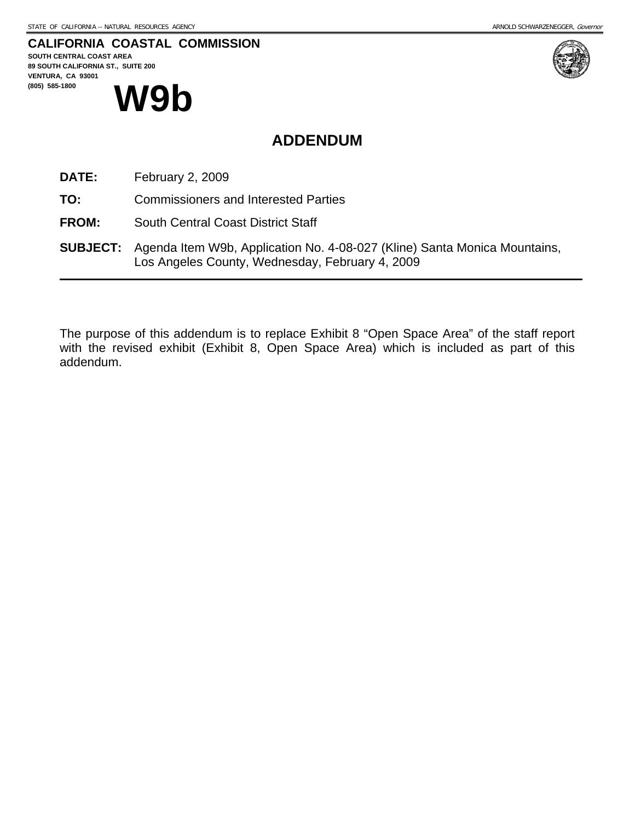#### **CALIFORNIA COASTAL COMMISSION**

**SOUTH CENTRAL COAST AREA 89 SOUTH CALIFORNIA ST., SUITE 200 VENTURA, CA 93001**  (805) 585-1800 **W9b** 



## **ADDENDUM**

- **DATE:** February 2, 2009
- **TO:** Commissioners and Interested Parties
- **FROM:** South Central Coast District Staff
- **SUBJECT:** Agenda Item W9b, Application No. 4-08-027 (Kline) Santa Monica Mountains, Los Angeles County, Wednesday, February 4, 2009

The purpose of this addendum is to replace Exhibit 8 "Open Space Area" of the staff report with the revised exhibit (Exhibit 8, Open Space Area) which is included as part of this addendum.

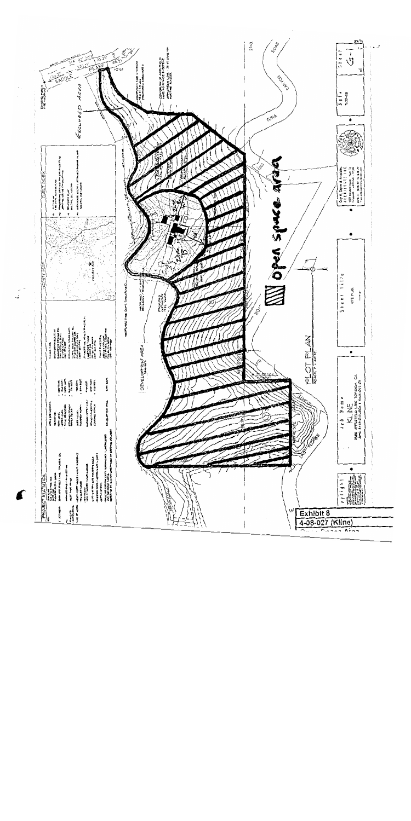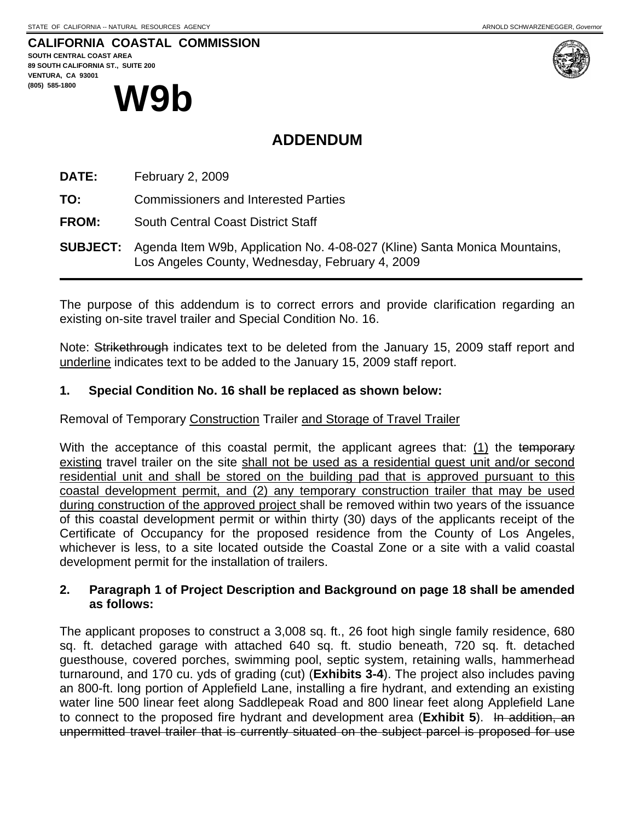# **CALIFORNIA COASTAL COMMISSION**





# **ADDENDUM**

**DATE:** February 2, 2009

**TO:** Commissioners and Interested Parties

**FROM:** South Central Coast District Staff

**SUBJECT:** Agenda Item W9b, Application No. 4-08-027 (Kline) Santa Monica Mountains, Los Angeles County, Wednesday, February 4, 2009

The purpose of this addendum is to correct errors and provide clarification regarding an existing on-site travel trailer and Special Condition No. 16.

Note: Strikethrough indicates text to be deleted from the January 15, 2009 staff report and underline indicates text to be added to the January 15, 2009 staff report.

#### **1. Special Condition No. 16 shall be replaced as shown below:**

Removal of Temporary Construction Trailer and Storage of Travel Trailer

With the acceptance of this coastal permit, the applicant agrees that: (1) the temporary existing travel trailer on the site shall not be used as a residential guest unit and/or second residential unit and shall be stored on the building pad that is approved pursuant to this coastal development permit, and (2) any temporary construction trailer that may be used during construction of the approved project shall be removed within two years of the issuance of this coastal development permit or within thirty (30) days of the applicants receipt of the Certificate of Occupancy for the proposed residence from the County of Los Angeles, whichever is less, to a site located outside the Coastal Zone or a site with a valid coastal development permit for the installation of trailers.

#### **2. Paragraph 1 of Project Description and Background on page 18 shall be amended as follows:**

The applicant proposes to construct a 3,008 sq. ft., 26 foot high single family residence, 680 sq. ft. detached garage with attached 640 sq. ft. studio beneath, 720 sq. ft. detached guesthouse, covered porches, swimming pool, septic system, retaining walls, hammerhead turnaround, and 170 cu. yds of grading (cut) (**Exhibits 3-4**). The project also includes paving an 800-ft. long portion of Applefield Lane, installing a fire hydrant, and extending an existing water line 500 linear feet along Saddlepeak Road and 800 linear feet along Applefield Lane to connect to the proposed fire hydrant and development area (**Exhibit 5**). In addition, an unpermitted travel trailer that is currently situated on the subject parcel is proposed for use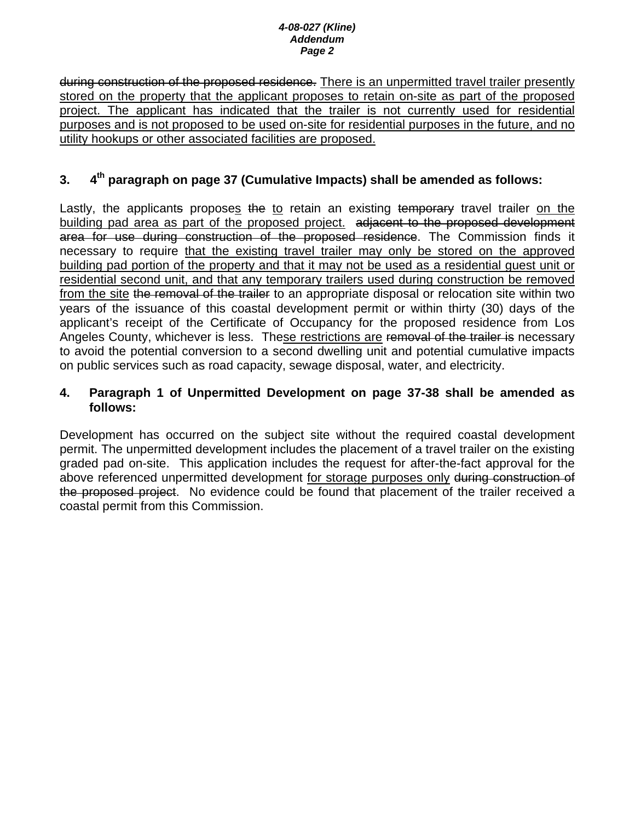#### *4-08-027 (Kline) Addendum Page 2*

during construction of the proposed residence. There is an unpermitted travel trailer presently stored on the property that the applicant proposes to retain on-site as part of the proposed project. The applicant has indicated that the trailer is not currently used for residential purposes and is not proposed to be used on-site for residential purposes in the future, and no utility hookups or other associated facilities are proposed.

## **3. 4th paragraph on page 37 (Cumulative Impacts) shall be amended as follows:**

Lastly, the applicants proposes the to retain an existing temporary travel trailer on the building pad area as part of the proposed project. adjacent to the proposed development area for use during construction of the proposed residence. The Commission finds it necessary to require that the existing travel trailer may only be stored on the approved building pad portion of the property and that it may not be used as a residential guest unit or residential second unit, and that any temporary trailers used during construction be removed from the site the removal of the trailer to an appropriate disposal or relocation site within two years of the issuance of this coastal development permit or within thirty (30) days of the applicant's receipt of the Certificate of Occupancy for the proposed residence from Los Angeles County, whichever is less. These restrictions are removal of the trailer is necessary to avoid the potential conversion to a second dwelling unit and potential cumulative impacts on public services such as road capacity, sewage disposal, water, and electricity.

#### **4. Paragraph 1 of Unpermitted Development on page 37-38 shall be amended as follows:**

Development has occurred on the subject site without the required coastal development permit. The unpermitted development includes the placement of a travel trailer on the existing graded pad on-site. This application includes the request for after-the-fact approval for the above referenced unpermitted development for storage purposes only during construction of the proposed project. No evidence could be found that placement of the trailer received a coastal permit from this Commission.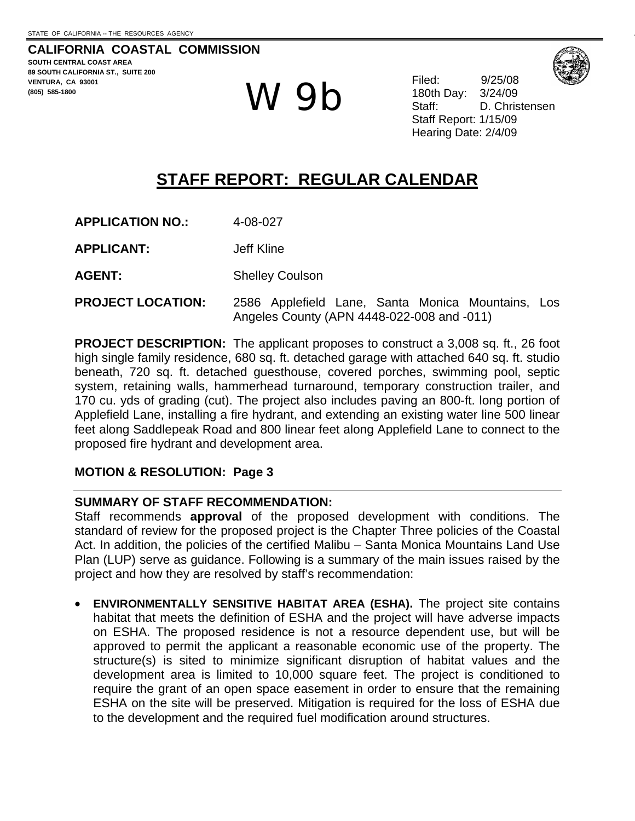**CALIFORNIA COASTAL COMMISSION SOUTH CENTRAL COAST AREA 89 SOUTH CALIFORNIA ST., SUITE 200 VENTURA, CA 93001 (805) 585-1800** W 9b Filed: 9/25/08

180th Day: D. Christensen Staff Report: 1/15/09 Hearing Date: 2/4/09

# **STAFF REPORT: REGULAR CALENDAR**

| <b>APPLICATION NO.:</b> | 4-08-027 |
|-------------------------|----------|
|                         |          |

**APPLICANT:** Jeff Kline

AGENT: Shelley Coulson

**PROJECT LOCATION:** 2586 Applefield Lane, Santa Monica Mountains, Los Angeles County (APN 4448-022-008 and -011)

**PROJECT DESCRIPTION:** The applicant proposes to construct a 3,008 sq. ft., 26 foot high single family residence, 680 sq. ft. detached garage with attached 640 sq. ft. studio beneath, 720 sq. ft. detached guesthouse, covered porches, swimming pool, septic system, retaining walls, hammerhead turnaround, temporary construction trailer, and 170 cu. yds of grading (cut). The project also includes paving an 800-ft. long portion of Applefield Lane, installing a fire hydrant, and extending an existing water line 500 linear feet along Saddlepeak Road and 800 linear feet along Applefield Lane to connect to the proposed fire hydrant and development area.

## **MOTION & RESOLUTION: Page 3**

## **SUMMARY OF STAFF RECOMMENDATION:**

Staff recommends **approval** of the proposed development with conditions. The standard of review for the proposed project is the Chapter Three policies of the Coastal Act. In addition, the policies of the certified Malibu – Santa Monica Mountains Land Use Plan (LUP) serve as guidance. Following is a summary of the main issues raised by the project and how they are resolved by staff's recommendation:

• **ENVIRONMENTALLY SENSITIVE HABITAT AREA (ESHA).** The project site contains habitat that meets the definition of ESHA and the project will have adverse impacts on ESHA. The proposed residence is not a resource dependent use, but will be approved to permit the applicant a reasonable economic use of the property. The structure(s) is sited to minimize significant disruption of habitat values and the development area is limited to 10,000 square feet. The project is conditioned to require the grant of an open space easement in order to ensure that the remaining ESHA on the site will be preserved. Mitigation is required for the loss of ESHA due to the development and the required fuel modification around structures.

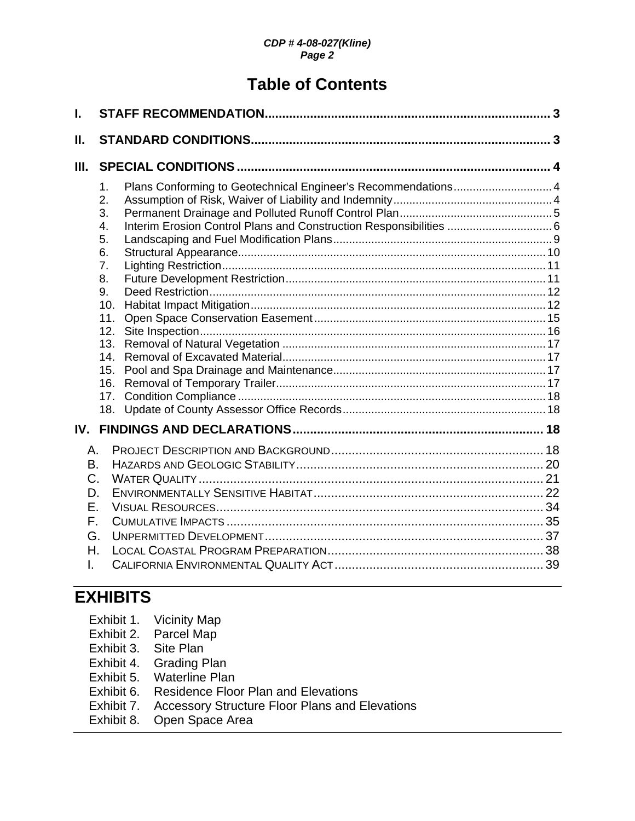#### *CDP # 4-08-027(Kline) Page 2*

# **Table of Contents**

| L                                                  |                                                                                                                                                                                                                                                                               |  |
|----------------------------------------------------|-------------------------------------------------------------------------------------------------------------------------------------------------------------------------------------------------------------------------------------------------------------------------------|--|
| Ш.                                                 |                                                                                                                                                                                                                                                                               |  |
| Ш.                                                 |                                                                                                                                                                                                                                                                               |  |
|                                                    | Plans Conforming to Geotechnical Engineer's Recommendations 4<br>$\mathbf 1$<br>2.<br>3.<br>Interim Erosion Control Plans and Construction Responsibilities  6<br>4.<br>5.<br>6.<br>7 <sub>1</sub><br>8.<br>9.<br>10.<br>11.<br>12.<br>13.<br>14.<br>15.<br>16.<br>17.<br>18. |  |
| IV.                                                |                                                                                                                                                                                                                                                                               |  |
| А.<br>В.<br>C.<br>D.<br>Е.<br>F.<br>G.<br>Η.<br>I. |                                                                                                                                                                                                                                                                               |  |

# **EXHIBITS**

- Exhibit 2. Parcel Map
- Exhibit 3. Site Plan
- Exhibit 4. Grading Plan
- Exhibit 5. Waterline Plan
- Exhibit 6. Residence Floor Plan and Elevations
- Exhibit 7. Accessory Structure Floor Plans and Elevations
- Exhibit 8. Open Space Area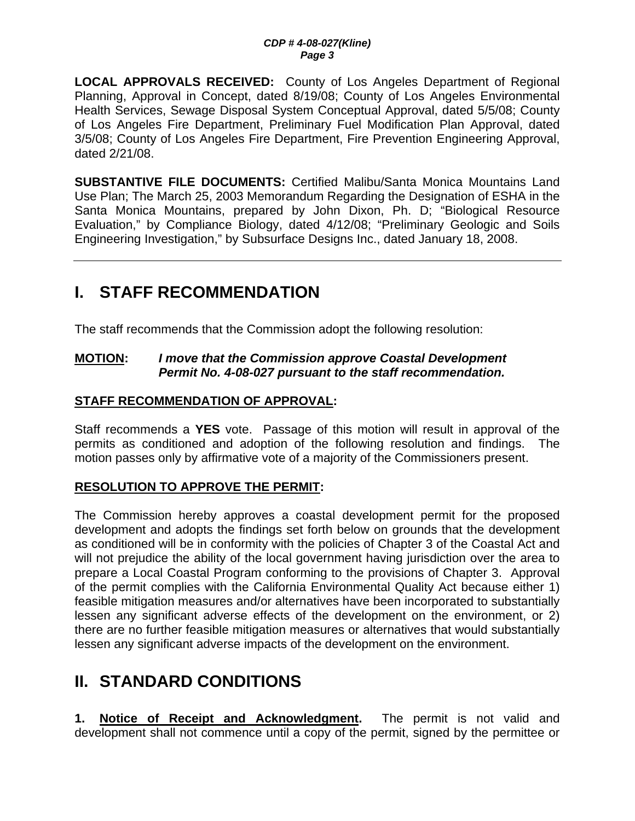**LOCAL APPROVALS RECEIVED:** County of Los Angeles Department of Regional Planning, Approval in Concept, dated 8/19/08; County of Los Angeles Environmental Health Services, Sewage Disposal System Conceptual Approval, dated 5/5/08; County of Los Angeles Fire Department, Preliminary Fuel Modification Plan Approval, dated 3/5/08; County of Los Angeles Fire Department, Fire Prevention Engineering Approval, dated 2/21/08.

**SUBSTANTIVE FILE DOCUMENTS:** Certified Malibu/Santa Monica Mountains Land Use Plan; The March 25, 2003 Memorandum Regarding the Designation of ESHA in the Santa Monica Mountains, prepared by John Dixon, Ph. D; "Biological Resource Evaluation," by Compliance Biology, dated 4/12/08; "Preliminary Geologic and Soils Engineering Investigation," by Subsurface Designs Inc., dated January 18, 2008.

# **I. STAFF RECOMMENDATION**

The staff recommends that the Commission adopt the following resolution:

#### **MOTION:** *I move that the Commission approve Coastal Development Permit No. 4-08-027 pursuant to the staff recommendation.*

## **STAFF RECOMMENDATION OF APPROVAL:**

Staff recommends a **YES** vote. Passage of this motion will result in approval of the permits as conditioned and adoption of the following resolution and findings. The motion passes only by affirmative vote of a majority of the Commissioners present.

## **RESOLUTION TO APPROVE THE PERMIT:**

The Commission hereby approves a coastal development permit for the proposed development and adopts the findings set forth below on grounds that the development as conditioned will be in conformity with the policies of Chapter 3 of the Coastal Act and will not prejudice the ability of the local government having jurisdiction over the area to prepare a Local Coastal Program conforming to the provisions of Chapter 3. Approval of the permit complies with the California Environmental Quality Act because either 1) feasible mitigation measures and/or alternatives have been incorporated to substantially lessen any significant adverse effects of the development on the environment, or 2) there are no further feasible mitigation measures or alternatives that would substantially lessen any significant adverse impacts of the development on the environment.

# **II. STANDARD CONDITIONS**

**1. Notice of Receipt and Acknowledgment.** The permit is not valid and development shall not commence until a copy of the permit, signed by the permittee or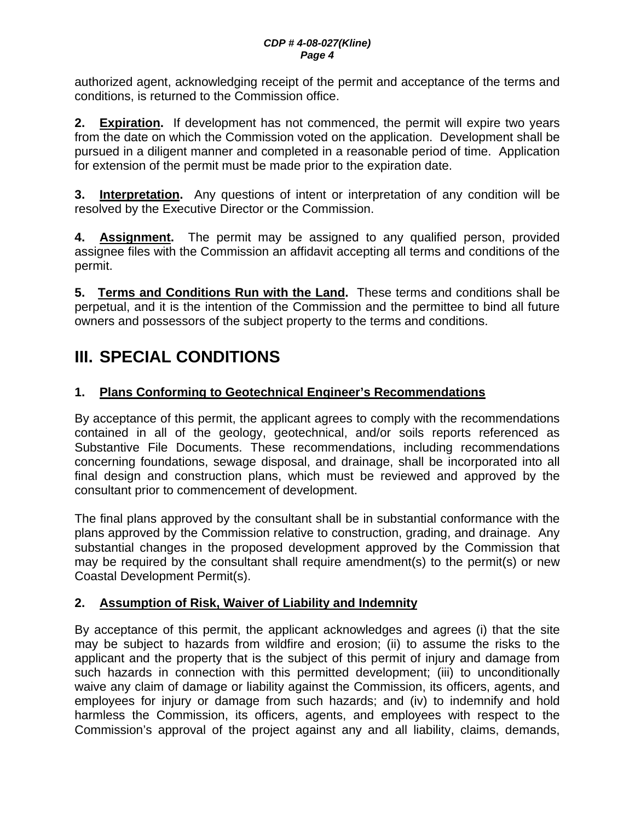authorized agent, acknowledging receipt of the permit and acceptance of the terms and conditions, is returned to the Commission office.

**2. Expiration.** If development has not commenced, the permit will expire two years from the date on which the Commission voted on the application. Development shall be pursued in a diligent manner and completed in a reasonable period of time. Application for extension of the permit must be made prior to the expiration date.

**3. Interpretation.** Any questions of intent or interpretation of any condition will be resolved by the Executive Director or the Commission.

**4. Assignment.** The permit may be assigned to any qualified person, provided assignee files with the Commission an affidavit accepting all terms and conditions of the permit.

**5. Terms and Conditions Run with the Land.** These terms and conditions shall be perpetual, and it is the intention of the Commission and the permittee to bind all future owners and possessors of the subject property to the terms and conditions.

# **III. SPECIAL CONDITIONS**

## **1. Plans Conforming to Geotechnical Engineer's Recommendations**

By acceptance of this permit, the applicant agrees to comply with the recommendations contained in all of the geology, geotechnical, and/or soils reports referenced as Substantive File Documents. These recommendations, including recommendations concerning foundations, sewage disposal, and drainage, shall be incorporated into all final design and construction plans, which must be reviewed and approved by the consultant prior to commencement of development.

The final plans approved by the consultant shall be in substantial conformance with the plans approved by the Commission relative to construction, grading, and drainage. Any substantial changes in the proposed development approved by the Commission that may be required by the consultant shall require amendment(s) to the permit(s) or new Coastal Development Permit(s).

## **2. Assumption of Risk, Waiver of Liability and Indemnity**

By acceptance of this permit, the applicant acknowledges and agrees (i) that the site may be subject to hazards from wildfire and erosion; (ii) to assume the risks to the applicant and the property that is the subject of this permit of injury and damage from such hazards in connection with this permitted development; (iii) to unconditionally waive any claim of damage or liability against the Commission, its officers, agents, and employees for injury or damage from such hazards; and (iv) to indemnify and hold harmless the Commission, its officers, agents, and employees with respect to the Commission's approval of the project against any and all liability, claims, demands,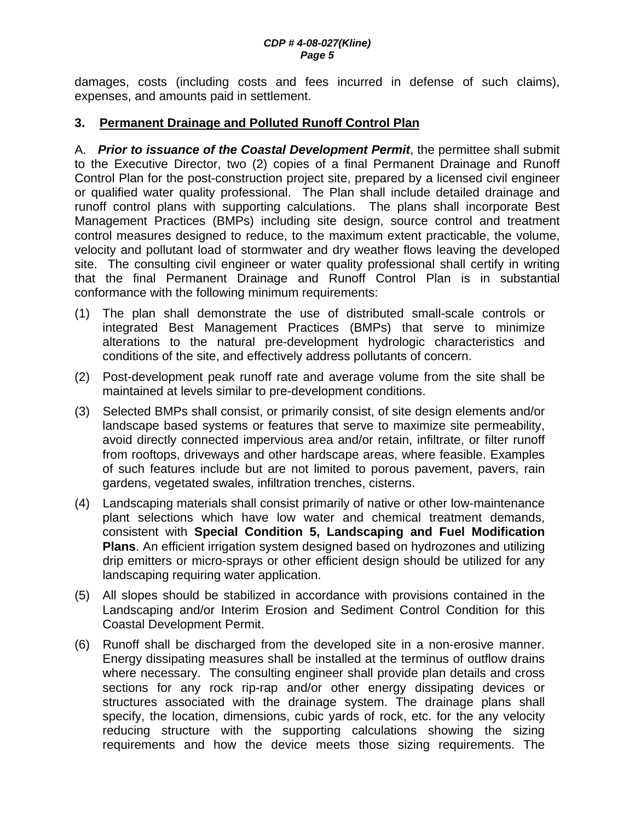#### *CDP # 4-08-027(Kline) Page 5*

damages, costs (including costs and fees incurred in defense of such claims), expenses, and amounts paid in settlement.

#### **3. Permanent Drainage and Polluted Runoff Control Plan**

A. *Prior to issuance of the Coastal Development Permit*, the permittee shall submit to the Executive Director, two (2) copies of a final Permanent Drainage and Runoff Control Plan for the post-construction project site, prepared by a licensed civil engineer or qualified water quality professional. The Plan shall include detailed drainage and runoff control plans with supporting calculations. The plans shall incorporate Best Management Practices (BMPs) including site design, source control and treatment control measures designed to reduce, to the maximum extent practicable, the volume, velocity and pollutant load of stormwater and dry weather flows leaving the developed site. The consulting civil engineer or water quality professional shall certify in writing that the final Permanent Drainage and Runoff Control Plan is in substantial conformance with the following minimum requirements:

- (1) The plan shall demonstrate the use of distributed small-scale controls or integrated Best Management Practices (BMPs) that serve to minimize alterations to the natural pre-development hydrologic characteristics and conditions of the site, and effectively address pollutants of concern.
- (2) Post-development peak runoff rate and average volume from the site shall be maintained at levels similar to pre-development conditions.
- (3) Selected BMPs shall consist, or primarily consist, of site design elements and/or landscape based systems or features that serve to maximize site permeability, avoid directly connected impervious area and/or retain, infiltrate, or filter runoff from rooftops, driveways and other hardscape areas, where feasible. Examples of such features include but are not limited to porous pavement, pavers, rain gardens, vegetated swales, infiltration trenches, cisterns.
- (4) Landscaping materials shall consist primarily of native or other low-maintenance plant selections which have low water and chemical treatment demands, consistent with **Special Condition 5, Landscaping and Fuel Modification Plans**. An efficient irrigation system designed based on hydrozones and utilizing drip emitters or micro-sprays or other efficient design should be utilized for any landscaping requiring water application.
- (5) All slopes should be stabilized in accordance with provisions contained in the Landscaping and/or Interim Erosion and Sediment Control Condition for this Coastal Development Permit.
- (6) Runoff shall be discharged from the developed site in a non-erosive manner. Energy dissipating measures shall be installed at the terminus of outflow drains where necessary. The consulting engineer shall provide plan details and cross sections for any rock rip-rap and/or other energy dissipating devices or structures associated with the drainage system. The drainage plans shall specify, the location, dimensions, cubic yards of rock, etc. for the any velocity reducing structure with the supporting calculations showing the sizing requirements and how the device meets those sizing requirements. The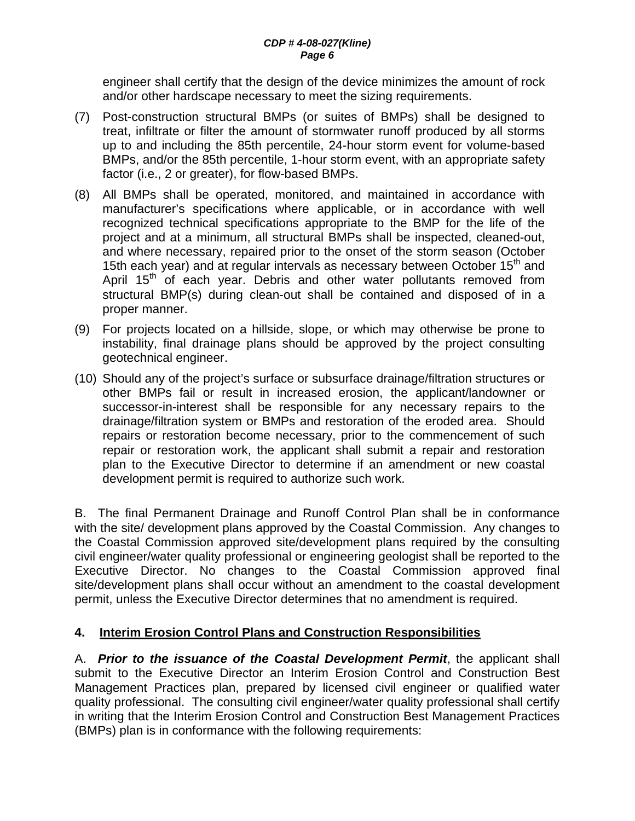engineer shall certify that the design of the device minimizes the amount of rock and/or other hardscape necessary to meet the sizing requirements.

- (7) Post-construction structural BMPs (or suites of BMPs) shall be designed to treat, infiltrate or filter the amount of stormwater runoff produced by all storms up to and including the 85th percentile, 24-hour storm event for volume-based BMPs, and/or the 85th percentile, 1-hour storm event, with an appropriate safety factor (i.e., 2 or greater), for flow-based BMPs.
- (8) All BMPs shall be operated, monitored, and maintained in accordance with manufacturer's specifications where applicable, or in accordance with well recognized technical specifications appropriate to the BMP for the life of the project and at a minimum, all structural BMPs shall be inspected, cleaned-out, and where necessary, repaired prior to the onset of the storm season (October 15th each year) and at regular intervals as necessary between October  $15<sup>th</sup>$  and April 15<sup>th</sup> of each year. Debris and other water pollutants removed from structural BMP(s) during clean-out shall be contained and disposed of in a proper manner.
- (9) For projects located on a hillside, slope, or which may otherwise be prone to instability, final drainage plans should be approved by the project consulting geotechnical engineer.
- (10) Should any of the project's surface or subsurface drainage/filtration structures or other BMPs fail or result in increased erosion, the applicant/landowner or successor-in-interest shall be responsible for any necessary repairs to the drainage/filtration system or BMPs and restoration of the eroded area. Should repairs or restoration become necessary, prior to the commencement of such repair or restoration work, the applicant shall submit a repair and restoration plan to the Executive Director to determine if an amendment or new coastal development permit is required to authorize such work.

B. The final Permanent Drainage and Runoff Control Plan shall be in conformance with the site/ development plans approved by the Coastal Commission. Any changes to the Coastal Commission approved site/development plans required by the consulting civil engineer/water quality professional or engineering geologist shall be reported to the Executive Director. No changes to the Coastal Commission approved final site/development plans shall occur without an amendment to the coastal development permit, unless the Executive Director determines that no amendment is required.

## **4. Interim Erosion Control Plans and Construction Responsibilities**

A. *Prior to the issuance of the Coastal Development Permit*, the applicant shall submit to the Executive Director an Interim Erosion Control and Construction Best Management Practices plan, prepared by licensed civil engineer or qualified water quality professional. The consulting civil engineer/water quality professional shall certify in writing that the Interim Erosion Control and Construction Best Management Practices (BMPs) plan is in conformance with the following requirements: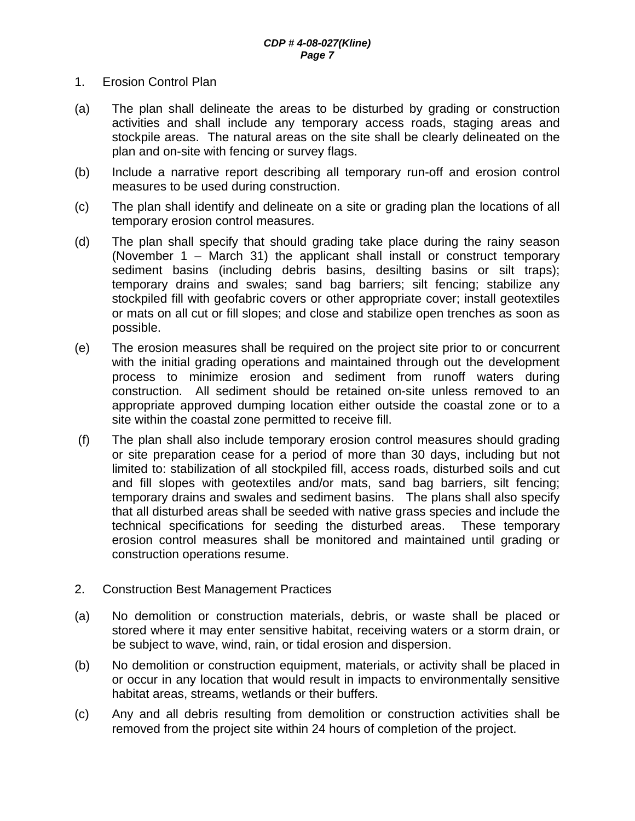- 1. Erosion Control Plan
- (a) The plan shall delineate the areas to be disturbed by grading or construction activities and shall include any temporary access roads, staging areas and stockpile areas. The natural areas on the site shall be clearly delineated on the plan and on-site with fencing or survey flags.
- (b) Include a narrative report describing all temporary run-off and erosion control measures to be used during construction.
- (c) The plan shall identify and delineate on a site or grading plan the locations of all temporary erosion control measures.
- (d) The plan shall specify that should grading take place during the rainy season (November 1 – March 31) the applicant shall install or construct temporary sediment basins (including debris basins, desilting basins or silt traps); temporary drains and swales; sand bag barriers; silt fencing; stabilize any stockpiled fill with geofabric covers or other appropriate cover; install geotextiles or mats on all cut or fill slopes; and close and stabilize open trenches as soon as possible.
- (e) The erosion measures shall be required on the project site prior to or concurrent with the initial grading operations and maintained through out the development process to minimize erosion and sediment from runoff waters during construction. All sediment should be retained on-site unless removed to an appropriate approved dumping location either outside the coastal zone or to a site within the coastal zone permitted to receive fill.
- (f) The plan shall also include temporary erosion control measures should grading or site preparation cease for a period of more than 30 days, including but not limited to: stabilization of all stockpiled fill, access roads, disturbed soils and cut and fill slopes with geotextiles and/or mats, sand bag barriers, silt fencing; temporary drains and swales and sediment basins. The plans shall also specify that all disturbed areas shall be seeded with native grass species and include the technical specifications for seeding the disturbed areas. These temporary erosion control measures shall be monitored and maintained until grading or construction operations resume.
- 2. Construction Best Management Practices
- (a) No demolition or construction materials, debris, or waste shall be placed or stored where it may enter sensitive habitat, receiving waters or a storm drain, or be subject to wave, wind, rain, or tidal erosion and dispersion.
- (b) No demolition or construction equipment, materials, or activity shall be placed in or occur in any location that would result in impacts to environmentally sensitive habitat areas, streams, wetlands or their buffers.
- (c) Any and all debris resulting from demolition or construction activities shall be removed from the project site within 24 hours of completion of the project.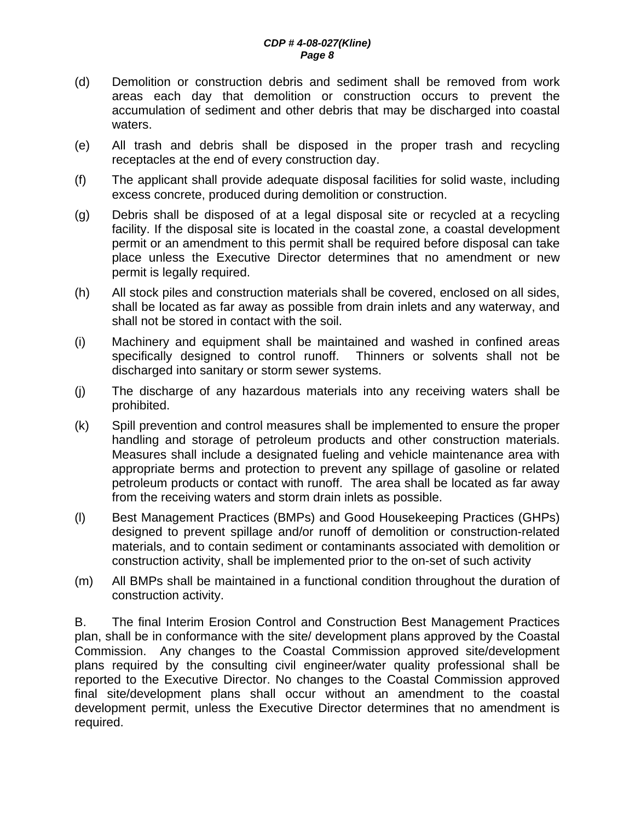- (d) Demolition or construction debris and sediment shall be removed from work areas each day that demolition or construction occurs to prevent the accumulation of sediment and other debris that may be discharged into coastal waters.
- (e) All trash and debris shall be disposed in the proper trash and recycling receptacles at the end of every construction day.
- (f) The applicant shall provide adequate disposal facilities for solid waste, including excess concrete, produced during demolition or construction.
- (g) Debris shall be disposed of at a legal disposal site or recycled at a recycling facility. If the disposal site is located in the coastal zone, a coastal development permit or an amendment to this permit shall be required before disposal can take place unless the Executive Director determines that no amendment or new permit is legally required.
- (h) All stock piles and construction materials shall be covered, enclosed on all sides, shall be located as far away as possible from drain inlets and any waterway, and shall not be stored in contact with the soil.
- (i) Machinery and equipment shall be maintained and washed in confined areas specifically designed to control runoff. Thinners or solvents shall not be discharged into sanitary or storm sewer systems.
- (j) The discharge of any hazardous materials into any receiving waters shall be prohibited.
- (k) Spill prevention and control measures shall be implemented to ensure the proper handling and storage of petroleum products and other construction materials. Measures shall include a designated fueling and vehicle maintenance area with appropriate berms and protection to prevent any spillage of gasoline or related petroleum products or contact with runoff. The area shall be located as far away from the receiving waters and storm drain inlets as possible.
- (l) Best Management Practices (BMPs) and Good Housekeeping Practices (GHPs) designed to prevent spillage and/or runoff of demolition or construction-related materials, and to contain sediment or contaminants associated with demolition or construction activity, shall be implemented prior to the on-set of such activity
- (m) All BMPs shall be maintained in a functional condition throughout the duration of construction activity.

B. The final Interim Erosion Control and Construction Best Management Practices plan, shall be in conformance with the site/ development plans approved by the Coastal Commission. Any changes to the Coastal Commission approved site/development plans required by the consulting civil engineer/water quality professional shall be reported to the Executive Director. No changes to the Coastal Commission approved final site/development plans shall occur without an amendment to the coastal development permit, unless the Executive Director determines that no amendment is required.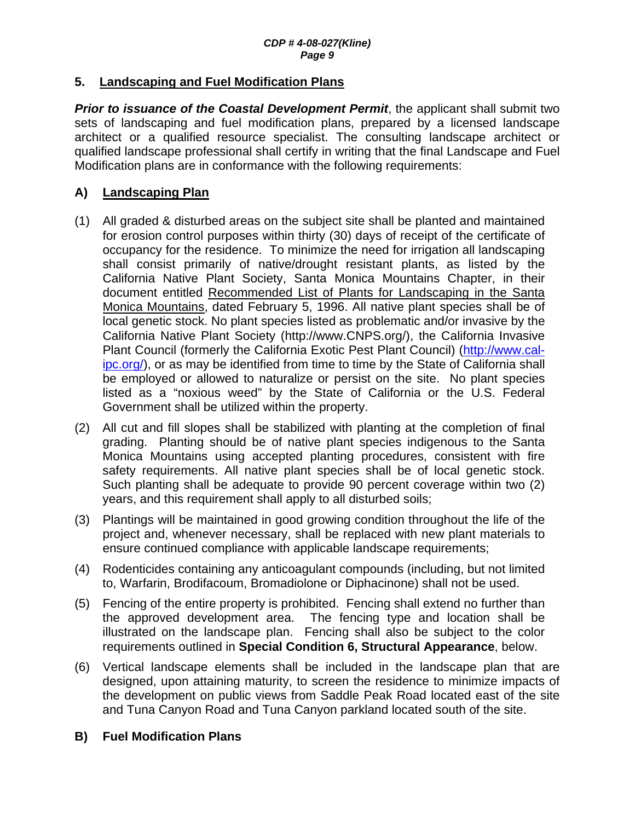#### **5. Landscaping and Fuel Modification Plans**

**Prior to issuance of the Coastal Development Permit**, the applicant shall submit two sets of landscaping and fuel modification plans, prepared by a licensed landscape architect or a qualified resource specialist. The consulting landscape architect or qualified landscape professional shall certify in writing that the final Landscape and Fuel Modification plans are in conformance with the following requirements:

## **A) Landscaping Plan**

- (1) All graded & disturbed areas on the subject site shall be planted and maintained for erosion control purposes within thirty (30) days of receipt of the certificate of occupancy for the residence. To minimize the need for irrigation all landscaping shall consist primarily of native/drought resistant plants, as listed by the California Native Plant Society, Santa Monica Mountains Chapter, in their document entitled Recommended List of Plants for Landscaping in the Santa Monica Mountains, dated February 5, 1996. All native plant species shall be of local genetic stock. No plant species listed as problematic and/or invasive by the California Native Plant Society (http://www.CNPS.org/), the California Invasive Plant Council (formerly the California Exotic Pest Plant Council) (http://www.calipc.org/), or as may be identified from time to time by the State of California shall be employed or allowed to naturalize or persist on the site. No plant species listed as a "noxious weed" by the State of California or the U.S. Federal Government shall be utilized within the property.
- (2) All cut and fill slopes shall be stabilized with planting at the completion of final grading. Planting should be of native plant species indigenous to the Santa Monica Mountains using accepted planting procedures, consistent with fire safety requirements. All native plant species shall be of local genetic stock. Such planting shall be adequate to provide 90 percent coverage within two (2) years, and this requirement shall apply to all disturbed soils;
- (3) Plantings will be maintained in good growing condition throughout the life of the project and, whenever necessary, shall be replaced with new plant materials to ensure continued compliance with applicable landscape requirements;
- (4) Rodenticides containing any anticoagulant compounds (including, but not limited to, Warfarin, Brodifacoum, Bromadiolone or Diphacinone) shall not be used.
- (5) Fencing of the entire property is prohibited. Fencing shall extend no further than the approved development area. The fencing type and location shall be illustrated on the landscape plan. Fencing shall also be subject to the color requirements outlined in **Special Condition 6, Structural Appearance**, below.
- (6) Vertical landscape elements shall be included in the landscape plan that are designed, upon attaining maturity, to screen the residence to minimize impacts of the development on public views from Saddle Peak Road located east of the site and Tuna Canyon Road and Tuna Canyon parkland located south of the site.

#### **B) Fuel Modification Plans**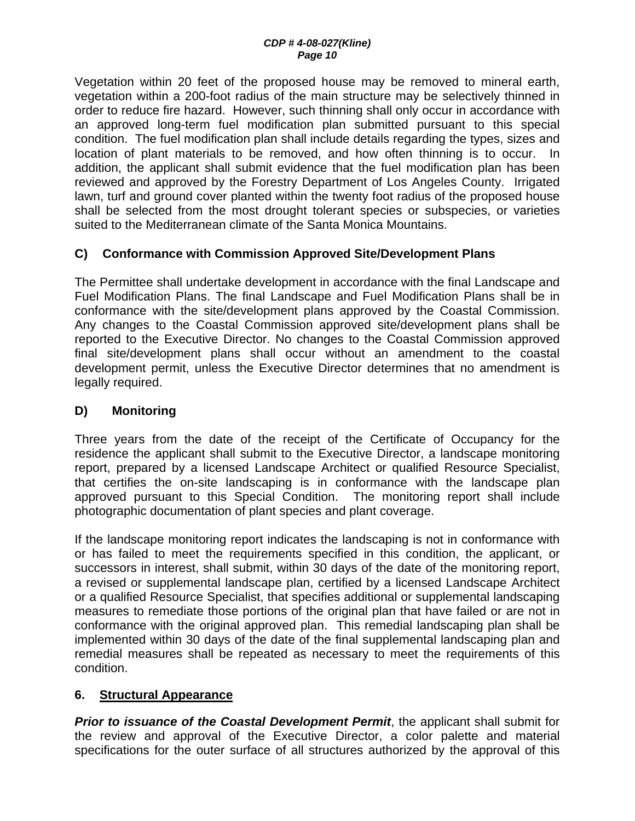Vegetation within 20 feet of the proposed house may be removed to mineral earth, vegetation within a 200-foot radius of the main structure may be selectively thinned in order to reduce fire hazard. However, such thinning shall only occur in accordance with an approved long-term fuel modification plan submitted pursuant to this special condition. The fuel modification plan shall include details regarding the types, sizes and location of plant materials to be removed, and how often thinning is to occur. In addition, the applicant shall submit evidence that the fuel modification plan has been reviewed and approved by the Forestry Department of Los Angeles County. Irrigated lawn, turf and ground cover planted within the twenty foot radius of the proposed house shall be selected from the most drought tolerant species or subspecies, or varieties suited to the Mediterranean climate of the Santa Monica Mountains.

## **C) Conformance with Commission Approved Site/Development Plans**

The Permittee shall undertake development in accordance with the final Landscape and Fuel Modification Plans. The final Landscape and Fuel Modification Plans shall be in conformance with the site/development plans approved by the Coastal Commission. Any changes to the Coastal Commission approved site/development plans shall be reported to the Executive Director. No changes to the Coastal Commission approved final site/development plans shall occur without an amendment to the coastal development permit, unless the Executive Director determines that no amendment is legally required.

## **D) Monitoring**

Three years from the date of the receipt of the Certificate of Occupancy for the residence the applicant shall submit to the Executive Director, a landscape monitoring report, prepared by a licensed Landscape Architect or qualified Resource Specialist, that certifies the on-site landscaping is in conformance with the landscape plan approved pursuant to this Special Condition. The monitoring report shall include photographic documentation of plant species and plant coverage.

If the landscape monitoring report indicates the landscaping is not in conformance with or has failed to meet the requirements specified in this condition, the applicant, or successors in interest, shall submit, within 30 days of the date of the monitoring report, a revised or supplemental landscape plan, certified by a licensed Landscape Architect or a qualified Resource Specialist, that specifies additional or supplemental landscaping measures to remediate those portions of the original plan that have failed or are not in conformance with the original approved plan. This remedial landscaping plan shall be implemented within 30 days of the date of the final supplemental landscaping plan and remedial measures shall be repeated as necessary to meet the requirements of this condition.

## **6. Structural Appearance**

*Prior to issuance of the Coastal Development Permit*, the applicant shall submit for the review and approval of the Executive Director, a color palette and material specifications for the outer surface of all structures authorized by the approval of this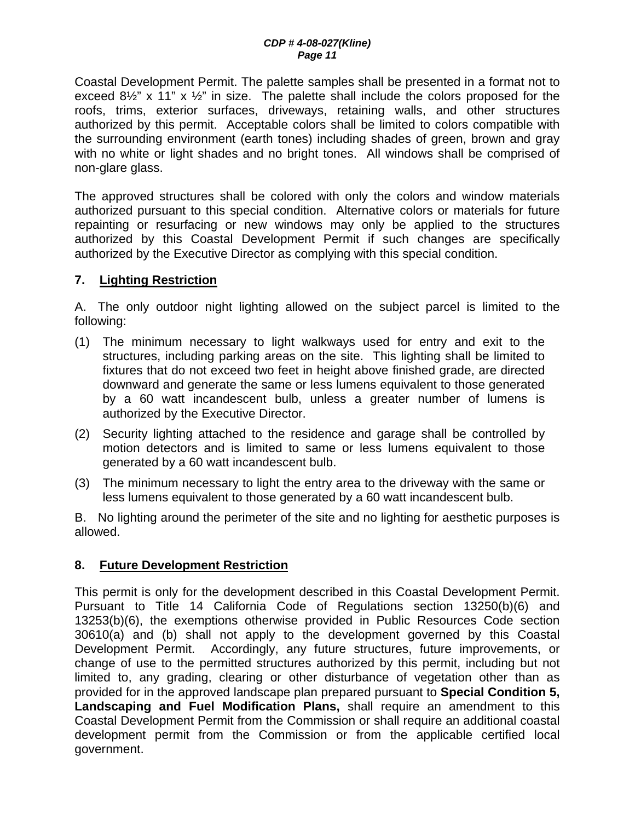Coastal Development Permit. The palette samples shall be presented in a format not to exceed  $8\frac{1}{2}$ " x 11" x  $\frac{1}{2}$ " in size. The palette shall include the colors proposed for the roofs, trims, exterior surfaces, driveways, retaining walls, and other structures authorized by this permit. Acceptable colors shall be limited to colors compatible with the surrounding environment (earth tones) including shades of green, brown and gray with no white or light shades and no bright tones. All windows shall be comprised of non-glare glass.

The approved structures shall be colored with only the colors and window materials authorized pursuant to this special condition. Alternative colors or materials for future repainting or resurfacing or new windows may only be applied to the structures authorized by this Coastal Development Permit if such changes are specifically authorized by the Executive Director as complying with this special condition.

## **7. Lighting Restriction**

A. The only outdoor night lighting allowed on the subject parcel is limited to the following:

- (1) The minimum necessary to light walkways used for entry and exit to the structures, including parking areas on the site. This lighting shall be limited to fixtures that do not exceed two feet in height above finished grade, are directed downward and generate the same or less lumens equivalent to those generated by a 60 watt incandescent bulb, unless a greater number of lumens is authorized by the Executive Director.
- (2) Security lighting attached to the residence and garage shall be controlled by motion detectors and is limited to same or less lumens equivalent to those generated by a 60 watt incandescent bulb.
- (3) The minimum necessary to light the entry area to the driveway with the same or less lumens equivalent to those generated by a 60 watt incandescent bulb.

B. No lighting around the perimeter of the site and no lighting for aesthetic purposes is allowed.

#### **8. Future Development Restriction**

This permit is only for the development described in this Coastal Development Permit. Pursuant to Title 14 California Code of Regulations section 13250(b)(6) and 13253(b)(6), the exemptions otherwise provided in Public Resources Code section 30610(a) and (b) shall not apply to the development governed by this Coastal Development Permit. Accordingly, any future structures, future improvements, or change of use to the permitted structures authorized by this permit, including but not limited to, any grading, clearing or other disturbance of vegetation other than as provided for in the approved landscape plan prepared pursuant to **Special Condition 5, Landscaping and Fuel Modification Plans,** shall require an amendment to this Coastal Development Permit from the Commission or shall require an additional coastal development permit from the Commission or from the applicable certified local government.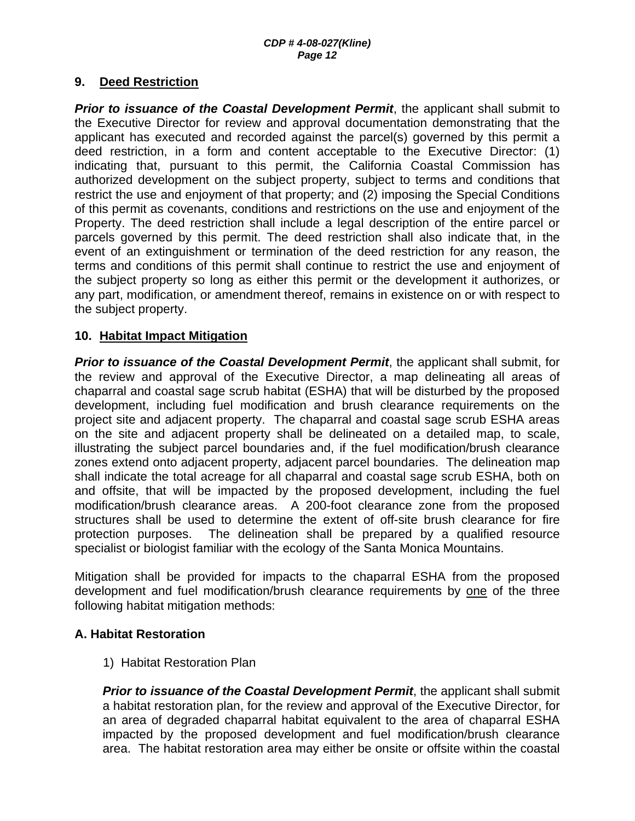#### **9. Deed Restriction**

**Prior to issuance of the Coastal Development Permit**, the applicant shall submit to the Executive Director for review and approval documentation demonstrating that the applicant has executed and recorded against the parcel(s) governed by this permit a deed restriction, in a form and content acceptable to the Executive Director: (1) indicating that, pursuant to this permit, the California Coastal Commission has authorized development on the subject property, subject to terms and conditions that restrict the use and enjoyment of that property; and (2) imposing the Special Conditions of this permit as covenants, conditions and restrictions on the use and enjoyment of the Property. The deed restriction shall include a legal description of the entire parcel or parcels governed by this permit. The deed restriction shall also indicate that, in the event of an extinguishment or termination of the deed restriction for any reason, the terms and conditions of this permit shall continue to restrict the use and enjoyment of the subject property so long as either this permit or the development it authorizes, or any part, modification, or amendment thereof, remains in existence on or with respect to the subject property.

#### **10. Habitat Impact Mitigation**

**Prior to issuance of the Coastal Development Permit**, the applicant shall submit, for the review and approval of the Executive Director, a map delineating all areas of chaparral and coastal sage scrub habitat (ESHA) that will be disturbed by the proposed development, including fuel modification and brush clearance requirements on the project site and adjacent property. The chaparral and coastal sage scrub ESHA areas on the site and adjacent property shall be delineated on a detailed map, to scale, illustrating the subject parcel boundaries and, if the fuel modification/brush clearance zones extend onto adjacent property, adjacent parcel boundaries. The delineation map shall indicate the total acreage for all chaparral and coastal sage scrub ESHA, both on and offsite, that will be impacted by the proposed development, including the fuel modification/brush clearance areas. A 200-foot clearance zone from the proposed structures shall be used to determine the extent of off-site brush clearance for fire protection purposes. The delineation shall be prepared by a qualified resource specialist or biologist familiar with the ecology of the Santa Monica Mountains.

Mitigation shall be provided for impacts to the chaparral ESHA from the proposed development and fuel modification/brush clearance requirements by one of the three following habitat mitigation methods:

#### **A. Habitat Restoration**

1) Habitat Restoration Plan

**Prior to issuance of the Coastal Development Permit**, the applicant shall submit a habitat restoration plan, for the review and approval of the Executive Director, for an area of degraded chaparral habitat equivalent to the area of chaparral ESHA impacted by the proposed development and fuel modification/brush clearance area. The habitat restoration area may either be onsite or offsite within the coastal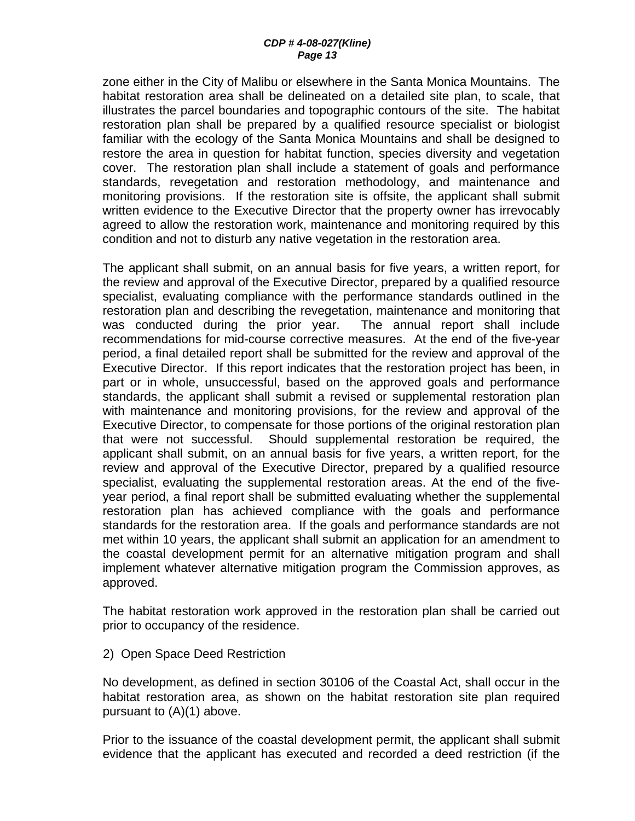zone either in the City of Malibu or elsewhere in the Santa Monica Mountains. The habitat restoration area shall be delineated on a detailed site plan, to scale, that illustrates the parcel boundaries and topographic contours of the site. The habitat restoration plan shall be prepared by a qualified resource specialist or biologist familiar with the ecology of the Santa Monica Mountains and shall be designed to restore the area in question for habitat function, species diversity and vegetation cover. The restoration plan shall include a statement of goals and performance standards, revegetation and restoration methodology, and maintenance and monitoring provisions. If the restoration site is offsite, the applicant shall submit written evidence to the Executive Director that the property owner has irrevocably agreed to allow the restoration work, maintenance and monitoring required by this condition and not to disturb any native vegetation in the restoration area.

The applicant shall submit, on an annual basis for five years, a written report, for the review and approval of the Executive Director, prepared by a qualified resource specialist, evaluating compliance with the performance standards outlined in the restoration plan and describing the revegetation, maintenance and monitoring that was conducted during the prior year. The annual report shall include recommendations for mid-course corrective measures. At the end of the five-year period, a final detailed report shall be submitted for the review and approval of the Executive Director. If this report indicates that the restoration project has been, in part or in whole, unsuccessful, based on the approved goals and performance standards, the applicant shall submit a revised or supplemental restoration plan with maintenance and monitoring provisions, for the review and approval of the Executive Director, to compensate for those portions of the original restoration plan that were not successful. Should supplemental restoration be required, the applicant shall submit, on an annual basis for five years, a written report, for the review and approval of the Executive Director, prepared by a qualified resource specialist, evaluating the supplemental restoration areas. At the end of the fiveyear period, a final report shall be submitted evaluating whether the supplemental restoration plan has achieved compliance with the goals and performance standards for the restoration area. If the goals and performance standards are not met within 10 years, the applicant shall submit an application for an amendment to the coastal development permit for an alternative mitigation program and shall implement whatever alternative mitigation program the Commission approves, as approved.

The habitat restoration work approved in the restoration plan shall be carried out prior to occupancy of the residence.

2) Open Space Deed Restriction

No development, as defined in section 30106 of the Coastal Act, shall occur in the habitat restoration area, as shown on the habitat restoration site plan required pursuant to (A)(1) above.

Prior to the issuance of the coastal development permit, the applicant shall submit evidence that the applicant has executed and recorded a deed restriction (if the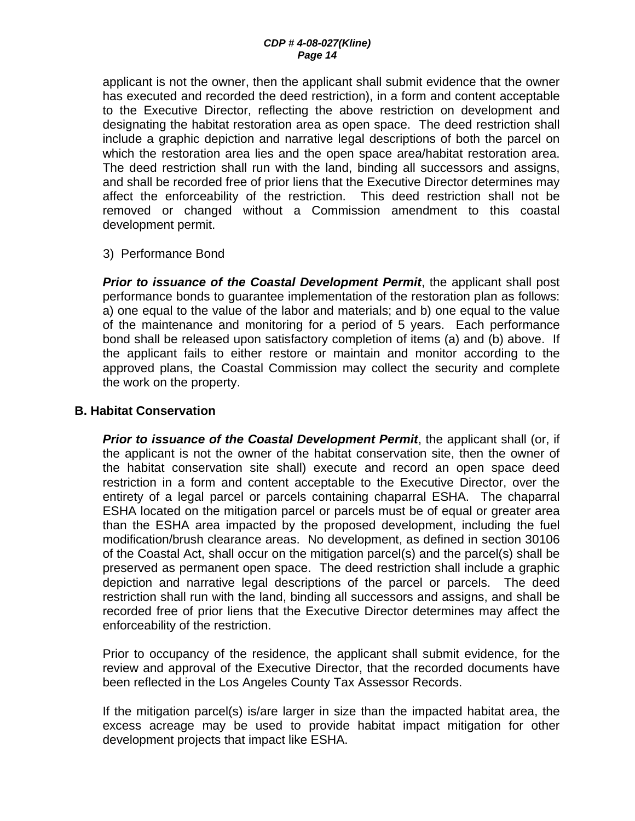applicant is not the owner, then the applicant shall submit evidence that the owner has executed and recorded the deed restriction), in a form and content acceptable to the Executive Director, reflecting the above restriction on development and designating the habitat restoration area as open space. The deed restriction shall include a graphic depiction and narrative legal descriptions of both the parcel on which the restoration area lies and the open space area/habitat restoration area. The deed restriction shall run with the land, binding all successors and assigns, and shall be recorded free of prior liens that the Executive Director determines may affect the enforceability of the restriction. This deed restriction shall not be removed or changed without a Commission amendment to this coastal development permit.

#### 3) Performance Bond

*Prior to issuance of the Coastal Development Permit*, the applicant shall post performance bonds to guarantee implementation of the restoration plan as follows: a) one equal to the value of the labor and materials; and b) one equal to the value of the maintenance and monitoring for a period of 5 years. Each performance bond shall be released upon satisfactory completion of items (a) and (b) above. If the applicant fails to either restore or maintain and monitor according to the approved plans, the Coastal Commission may collect the security and complete the work on the property.

#### **B. Habitat Conservation**

*Prior to issuance of the Coastal Development Permit*, the applicant shall (or, if the applicant is not the owner of the habitat conservation site, then the owner of the habitat conservation site shall) execute and record an open space deed restriction in a form and content acceptable to the Executive Director, over the entirety of a legal parcel or parcels containing chaparral ESHA. The chaparral ESHA located on the mitigation parcel or parcels must be of equal or greater area than the ESHA area impacted by the proposed development, including the fuel modification/brush clearance areas. No development, as defined in section 30106 of the Coastal Act, shall occur on the mitigation parcel(s) and the parcel(s) shall be preserved as permanent open space. The deed restriction shall include a graphic depiction and narrative legal descriptions of the parcel or parcels. The deed restriction shall run with the land, binding all successors and assigns, and shall be recorded free of prior liens that the Executive Director determines may affect the enforceability of the restriction.

Prior to occupancy of the residence, the applicant shall submit evidence, for the review and approval of the Executive Director, that the recorded documents have been reflected in the Los Angeles County Tax Assessor Records.

If the mitigation parcel(s) is/are larger in size than the impacted habitat area, the excess acreage may be used to provide habitat impact mitigation for other development projects that impact like ESHA.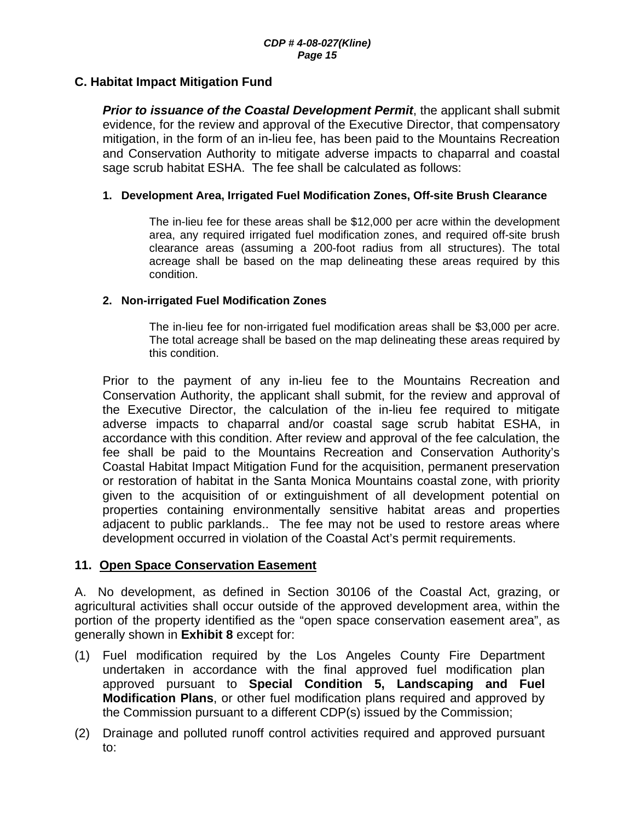#### **C. Habitat Impact Mitigation Fund**

**Prior to issuance of the Coastal Development Permit**, the applicant shall submit evidence, for the review and approval of the Executive Director, that compensatory mitigation, in the form of an in-lieu fee, has been paid to the Mountains Recreation and Conservation Authority to mitigate adverse impacts to chaparral and coastal sage scrub habitat ESHA. The fee shall be calculated as follows:

#### **1. Development Area, Irrigated Fuel Modification Zones, Off-site Brush Clearance**

The in-lieu fee for these areas shall be \$12,000 per acre within the development area, any required irrigated fuel modification zones, and required off-site brush clearance areas (assuming a 200-foot radius from all structures). The total acreage shall be based on the map delineating these areas required by this condition.

#### **2. Non-irrigated Fuel Modification Zones**

The in-lieu fee for non-irrigated fuel modification areas shall be \$3,000 per acre. The total acreage shall be based on the map delineating these areas required by this condition.

Prior to the payment of any in-lieu fee to the Mountains Recreation and Conservation Authority, the applicant shall submit, for the review and approval of the Executive Director, the calculation of the in-lieu fee required to mitigate adverse impacts to chaparral and/or coastal sage scrub habitat ESHA, in accordance with this condition. After review and approval of the fee calculation, the fee shall be paid to the Mountains Recreation and Conservation Authority's Coastal Habitat Impact Mitigation Fund for the acquisition, permanent preservation or restoration of habitat in the Santa Monica Mountains coastal zone, with priority given to the acquisition of or extinguishment of all development potential on properties containing environmentally sensitive habitat areas and properties adjacent to public parklands.. The fee may not be used to restore areas where development occurred in violation of the Coastal Act's permit requirements.

#### **11. Open Space Conservation Easement**

A. No development, as defined in Section 30106 of the Coastal Act, grazing, or agricultural activities shall occur outside of the approved development area, within the portion of the property identified as the "open space conservation easement area", as generally shown in **Exhibit 8** except for:

- (1) Fuel modification required by the Los Angeles County Fire Department undertaken in accordance with the final approved fuel modification plan approved pursuant to **Special Condition 5, Landscaping and Fuel Modification Plans**, or other fuel modification plans required and approved by the Commission pursuant to a different CDP(s) issued by the Commission;
- (2) Drainage and polluted runoff control activities required and approved pursuant to: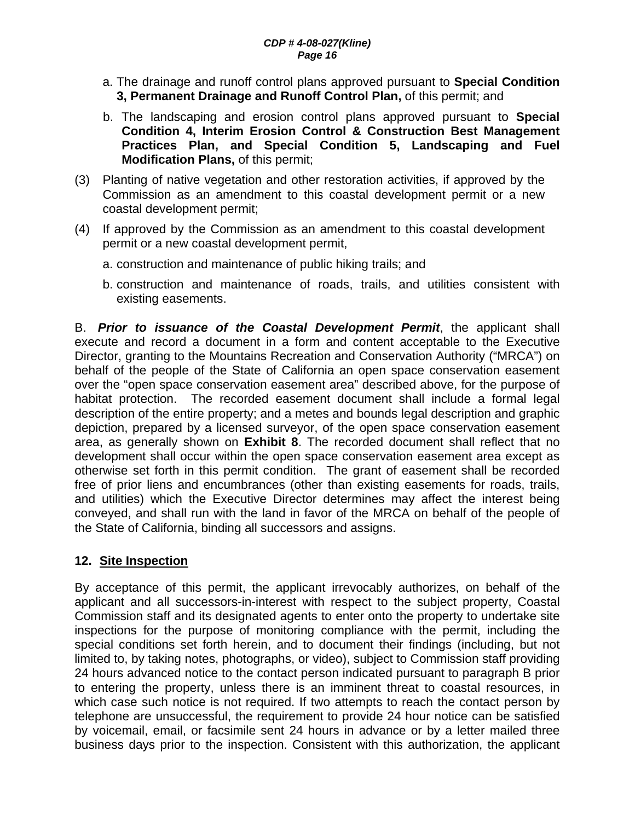- a. The drainage and runoff control plans approved pursuant to **Special Condition 3, Permanent Drainage and Runoff Control Plan,** of this permit; and
- b. The landscaping and erosion control plans approved pursuant to **Special Condition 4, Interim Erosion Control & Construction Best Management Practices Plan, and Special Condition 5, Landscaping and Fuel Modification Plans,** of this permit;
- (3) Planting of native vegetation and other restoration activities, if approved by the Commission as an amendment to this coastal development permit or a new coastal development permit;
- (4) If approved by the Commission as an amendment to this coastal development permit or a new coastal development permit,
	- a. construction and maintenance of public hiking trails; and
	- b. construction and maintenance of roads, trails, and utilities consistent with existing easements.

B. *Prior to issuance of the Coastal Development Permit*, the applicant shall execute and record a document in a form and content acceptable to the Executive Director, granting to the Mountains Recreation and Conservation Authority ("MRCA") on behalf of the people of the State of California an open space conservation easement over the "open space conservation easement area" described above, for the purpose of habitat protection. The recorded easement document shall include a formal legal description of the entire property; and a metes and bounds legal description and graphic depiction, prepared by a licensed surveyor, of the open space conservation easement area, as generally shown on **Exhibit 8**. The recorded document shall reflect that no development shall occur within the open space conservation easement area except as otherwise set forth in this permit condition. The grant of easement shall be recorded free of prior liens and encumbrances (other than existing easements for roads, trails, and utilities) which the Executive Director determines may affect the interest being conveyed, and shall run with the land in favor of the MRCA on behalf of the people of the State of California, binding all successors and assigns.

## **12. Site Inspection**

By acceptance of this permit, the applicant irrevocably authorizes, on behalf of the applicant and all successors-in-interest with respect to the subject property, Coastal Commission staff and its designated agents to enter onto the property to undertake site inspections for the purpose of monitoring compliance with the permit, including the special conditions set forth herein, and to document their findings (including, but not limited to, by taking notes, photographs, or video), subject to Commission staff providing 24 hours advanced notice to the contact person indicated pursuant to paragraph B prior to entering the property, unless there is an imminent threat to coastal resources, in which case such notice is not required. If two attempts to reach the contact person by telephone are unsuccessful, the requirement to provide 24 hour notice can be satisfied by voicemail, email, or facsimile sent 24 hours in advance or by a letter mailed three business days prior to the inspection. Consistent with this authorization, the applicant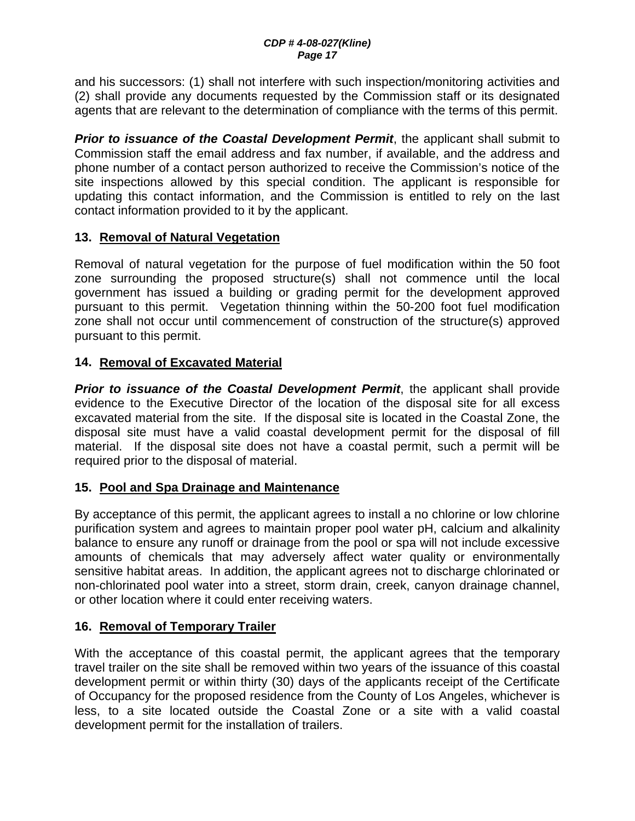and his successors: (1) shall not interfere with such inspection/monitoring activities and (2) shall provide any documents requested by the Commission staff or its designated agents that are relevant to the determination of compliance with the terms of this permit.

**Prior to issuance of the Coastal Development Permit**, the applicant shall submit to Commission staff the email address and fax number, if available, and the address and phone number of a contact person authorized to receive the Commission's notice of the site inspections allowed by this special condition. The applicant is responsible for updating this contact information, and the Commission is entitled to rely on the last contact information provided to it by the applicant.

## **13. Removal of Natural Vegetation**

Removal of natural vegetation for the purpose of fuel modification within the 50 foot zone surrounding the proposed structure(s) shall not commence until the local government has issued a building or grading permit for the development approved pursuant to this permit. Vegetation thinning within the 50-200 foot fuel modification zone shall not occur until commencement of construction of the structure(s) approved pursuant to this permit.

## **14. Removal of Excavated Material**

**Prior to issuance of the Coastal Development Permit**, the applicant shall provide evidence to the Executive Director of the location of the disposal site for all excess excavated material from the site. If the disposal site is located in the Coastal Zone, the disposal site must have a valid coastal development permit for the disposal of fill material. If the disposal site does not have a coastal permit, such a permit will be required prior to the disposal of material.

## **15. Pool and Spa Drainage and Maintenance**

By acceptance of this permit, the applicant agrees to install a no chlorine or low chlorine purification system and agrees to maintain proper pool water pH, calcium and alkalinity balance to ensure any runoff or drainage from the pool or spa will not include excessive amounts of chemicals that may adversely affect water quality or environmentally sensitive habitat areas. In addition, the applicant agrees not to discharge chlorinated or non-chlorinated pool water into a street, storm drain, creek, canyon drainage channel, or other location where it could enter receiving waters.

## **16. Removal of Temporary Trailer**

With the acceptance of this coastal permit, the applicant agrees that the temporary travel trailer on the site shall be removed within two years of the issuance of this coastal development permit or within thirty (30) days of the applicants receipt of the Certificate of Occupancy for the proposed residence from the County of Los Angeles, whichever is less, to a site located outside the Coastal Zone or a site with a valid coastal development permit for the installation of trailers.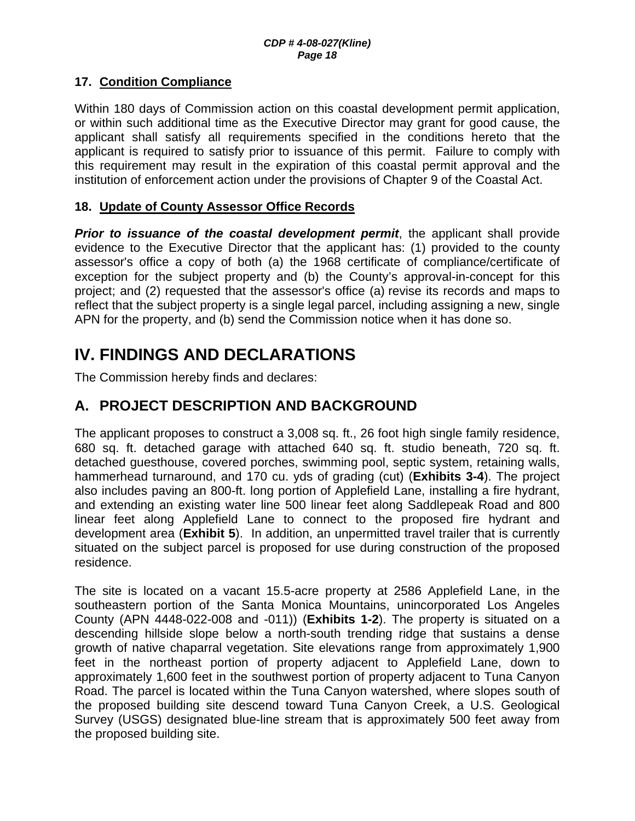## **17. Condition Compliance**

Within 180 days of Commission action on this coastal development permit application, or within such additional time as the Executive Director may grant for good cause, the applicant shall satisfy all requirements specified in the conditions hereto that the applicant is required to satisfy prior to issuance of this permit. Failure to comply with this requirement may result in the expiration of this coastal permit approval and the institution of enforcement action under the provisions of Chapter 9 of the Coastal Act.

#### **18. Update of County Assessor Office Records**

**Prior to issuance of the coastal development permit**, the applicant shall provide evidence to the Executive Director that the applicant has: (1) provided to the county assessor's office a copy of both (a) the 1968 certificate of compliance/certificate of exception for the subject property and (b) the County's approval-in-concept for this project; and (2) requested that the assessor's office (a) revise its records and maps to reflect that the subject property is a single legal parcel, including assigning a new, single APN for the property, and (b) send the Commission notice when it has done so.

# **IV. FINDINGS AND DECLARATIONS**

The Commission hereby finds and declares:

# **A. PROJECT DESCRIPTION AND BACKGROUND**

The applicant proposes to construct a 3,008 sq. ft., 26 foot high single family residence, 680 sq. ft. detached garage with attached 640 sq. ft. studio beneath, 720 sq. ft. detached guesthouse, covered porches, swimming pool, septic system, retaining walls, hammerhead turnaround, and 170 cu. yds of grading (cut) (**Exhibits 3-4**). The project also includes paving an 800-ft. long portion of Applefield Lane, installing a fire hydrant, and extending an existing water line 500 linear feet along Saddlepeak Road and 800 linear feet along Applefield Lane to connect to the proposed fire hydrant and development area (**Exhibit 5**). In addition, an unpermitted travel trailer that is currently situated on the subject parcel is proposed for use during construction of the proposed residence.

The site is located on a vacant 15.5-acre property at 2586 Applefield Lane, in the southeastern portion of the Santa Monica Mountains, unincorporated Los Angeles County (APN 4448-022-008 and -011)) (**Exhibits 1-2**). The property is situated on a descending hillside slope below a north-south trending ridge that sustains a dense growth of native chaparral vegetation. Site elevations range from approximately 1,900 feet in the northeast portion of property adjacent to Applefield Lane, down to approximately 1,600 feet in the southwest portion of property adjacent to Tuna Canyon Road. The parcel is located within the Tuna Canyon watershed, where slopes south of the proposed building site descend toward Tuna Canyon Creek, a U.S. Geological Survey (USGS) designated blue-line stream that is approximately 500 feet away from the proposed building site.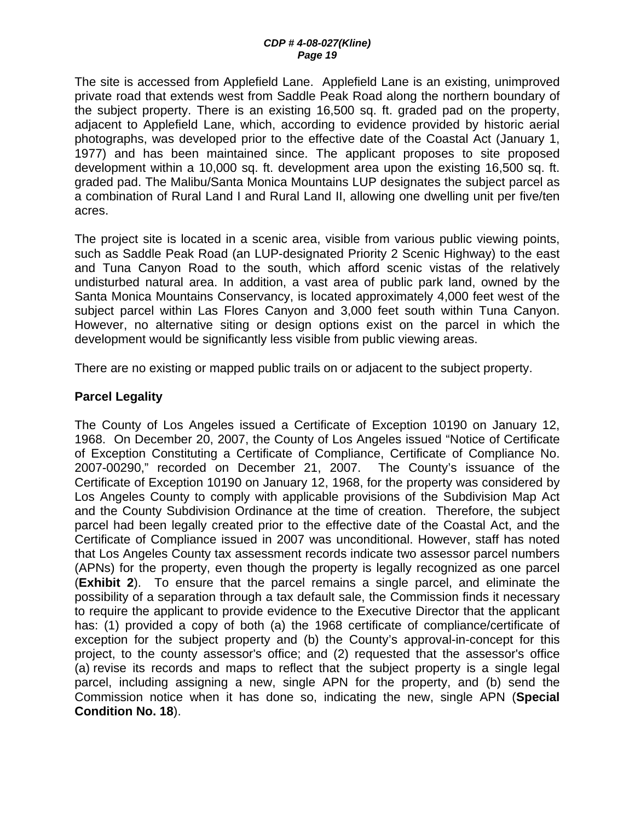#### *CDP # 4-08-027(Kline) Page 19*

The site is accessed from Applefield Lane. Applefield Lane is an existing, unimproved private road that extends west from Saddle Peak Road along the northern boundary of the subject property. There is an existing 16,500 sq. ft. graded pad on the property, adjacent to Applefield Lane, which, according to evidence provided by historic aerial photographs, was developed prior to the effective date of the Coastal Act (January 1, 1977) and has been maintained since. The applicant proposes to site proposed development within a 10,000 sq. ft. development area upon the existing 16,500 sq. ft. graded pad. The Malibu/Santa Monica Mountains LUP designates the subject parcel as a combination of Rural Land I and Rural Land II, allowing one dwelling unit per five/ten acres.

The project site is located in a scenic area, visible from various public viewing points, such as Saddle Peak Road (an LUP-designated Priority 2 Scenic Highway) to the east and Tuna Canyon Road to the south, which afford scenic vistas of the relatively undisturbed natural area. In addition, a vast area of public park land, owned by the Santa Monica Mountains Conservancy, is located approximately 4,000 feet west of the subject parcel within Las Flores Canyon and 3,000 feet south within Tuna Canyon. However, no alternative siting or design options exist on the parcel in which the development would be significantly less visible from public viewing areas.

There are no existing or mapped public trails on or adjacent to the subject property.

#### **Parcel Legality**

The County of Los Angeles issued a Certificate of Exception 10190 on January 12, 1968. On December 20, 2007, the County of Los Angeles issued "Notice of Certificate of Exception Constituting a Certificate of Compliance, Certificate of Compliance No. 2007-00290," recorded on December 21, 2007. The County's issuance of the Certificate of Exception 10190 on January 12, 1968, for the property was considered by Los Angeles County to comply with applicable provisions of the Subdivision Map Act and the County Subdivision Ordinance at the time of creation. Therefore, the subject parcel had been legally created prior to the effective date of the Coastal Act, and the Certificate of Compliance issued in 2007 was unconditional. However, staff has noted that Los Angeles County tax assessment records indicate two assessor parcel numbers (APNs) for the property, even though the property is legally recognized as one parcel (**Exhibit 2**). To ensure that the parcel remains a single parcel, and eliminate the possibility of a separation through a tax default sale, the Commission finds it necessary to require the applicant to provide evidence to the Executive Director that the applicant has: (1) provided a copy of both (a) the 1968 certificate of compliance/certificate of exception for the subject property and (b) the County's approval-in-concept for this project, to the county assessor's office; and (2) requested that the assessor's office (a) revise its records and maps to reflect that the subject property is a single legal parcel, including assigning a new, single APN for the property, and (b) send the Commission notice when it has done so, indicating the new, single APN (**Special Condition No. 18**).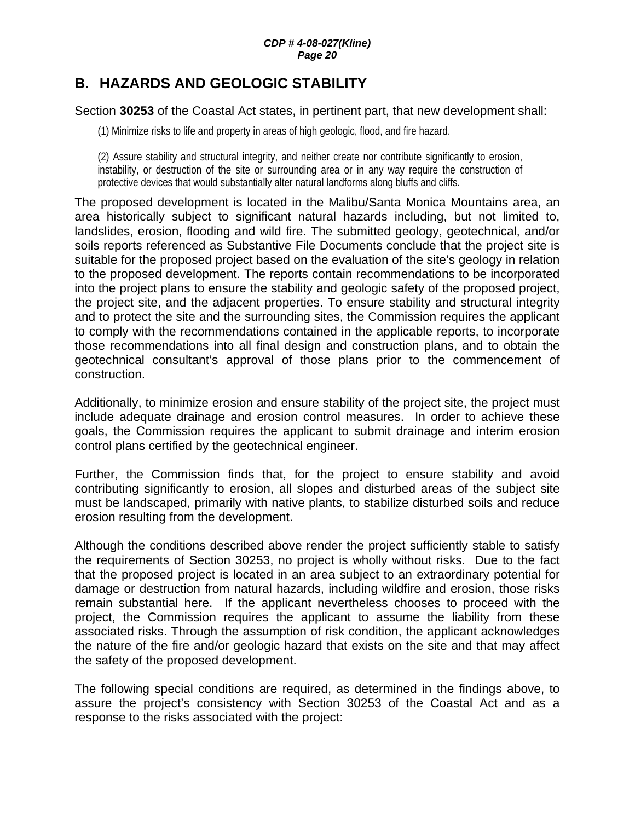## **B. HAZARDS AND GEOLOGIC STABILITY**

#### Section **30253** of the Coastal Act states, in pertinent part, that new development shall:

(1) Minimize risks to life and property in areas of high geologic, flood, and fire hazard.

(2) Assure stability and structural integrity, and neither create nor contribute significantly to erosion, instability, or destruction of the site or surrounding area or in any way require the construction of protective devices that would substantially alter natural landforms along bluffs and cliffs.

The proposed development is located in the Malibu/Santa Monica Mountains area, an area historically subject to significant natural hazards including, but not limited to, landslides, erosion, flooding and wild fire. The submitted geology, geotechnical, and/or soils reports referenced as Substantive File Documents conclude that the project site is suitable for the proposed project based on the evaluation of the site's geology in relation to the proposed development. The reports contain recommendations to be incorporated into the project plans to ensure the stability and geologic safety of the proposed project, the project site, and the adjacent properties. To ensure stability and structural integrity and to protect the site and the surrounding sites, the Commission requires the applicant to comply with the recommendations contained in the applicable reports, to incorporate those recommendations into all final design and construction plans, and to obtain the geotechnical consultant's approval of those plans prior to the commencement of construction.

Additionally, to minimize erosion and ensure stability of the project site, the project must include adequate drainage and erosion control measures. In order to achieve these goals, the Commission requires the applicant to submit drainage and interim erosion control plans certified by the geotechnical engineer.

Further, the Commission finds that, for the project to ensure stability and avoid contributing significantly to erosion, all slopes and disturbed areas of the subject site must be landscaped, primarily with native plants, to stabilize disturbed soils and reduce erosion resulting from the development.

Although the conditions described above render the project sufficiently stable to satisfy the requirements of Section 30253, no project is wholly without risks. Due to the fact that the proposed project is located in an area subject to an extraordinary potential for damage or destruction from natural hazards, including wildfire and erosion, those risks remain substantial here. If the applicant nevertheless chooses to proceed with the project, the Commission requires the applicant to assume the liability from these associated risks. Through the assumption of risk condition, the applicant acknowledges the nature of the fire and/or geologic hazard that exists on the site and that may affect the safety of the proposed development.

The following special conditions are required, as determined in the findings above, to assure the project's consistency with Section 30253 of the Coastal Act and as a response to the risks associated with the project: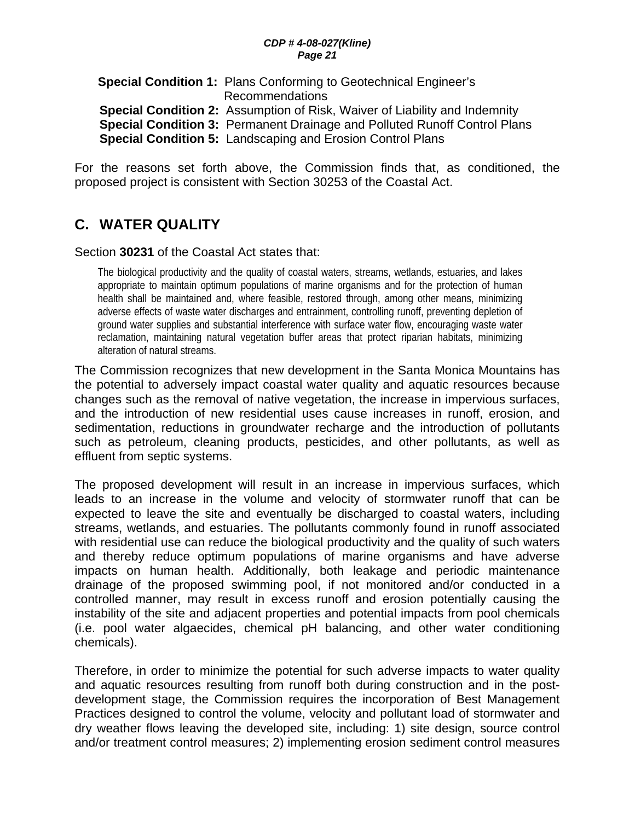#### *CDP # 4-08-027(Kline) Page 21*

**Special Condition 1:** Plans Conforming to Geotechnical Engineer's Recommendations **Special Condition 2:** Assumption of Risk, Waiver of Liability and Indemnity **Special Condition 3:** Permanent Drainage and Polluted Runoff Control Plans **Special Condition 5:** Landscaping and Erosion Control Plans

For the reasons set forth above, the Commission finds that, as conditioned, the proposed project is consistent with Section 30253 of the Coastal Act.

# **C. WATER QUALITY**

#### Section **30231** of the Coastal Act states that:

The biological productivity and the quality of coastal waters, streams, wetlands, estuaries, and lakes appropriate to maintain optimum populations of marine organisms and for the protection of human health shall be maintained and, where feasible, restored through, among other means, minimizing adverse effects of waste water discharges and entrainment, controlling runoff, preventing depletion of ground water supplies and substantial interference with surface water flow, encouraging waste water reclamation, maintaining natural vegetation buffer areas that protect riparian habitats, minimizing alteration of natural streams.

The Commission recognizes that new development in the Santa Monica Mountains has the potential to adversely impact coastal water quality and aquatic resources because changes such as the removal of native vegetation, the increase in impervious surfaces, and the introduction of new residential uses cause increases in runoff, erosion, and sedimentation, reductions in groundwater recharge and the introduction of pollutants such as petroleum, cleaning products, pesticides, and other pollutants, as well as effluent from septic systems.

The proposed development will result in an increase in impervious surfaces, which leads to an increase in the volume and velocity of stormwater runoff that can be expected to leave the site and eventually be discharged to coastal waters, including streams, wetlands, and estuaries. The pollutants commonly found in runoff associated with residential use can reduce the biological productivity and the quality of such waters and thereby reduce optimum populations of marine organisms and have adverse impacts on human health. Additionally, both leakage and periodic maintenance drainage of the proposed swimming pool, if not monitored and/or conducted in a controlled manner, may result in excess runoff and erosion potentially causing the instability of the site and adjacent properties and potential impacts from pool chemicals (i.e. pool water algaecides, chemical pH balancing, and other water conditioning chemicals).

Therefore, in order to minimize the potential for such adverse impacts to water quality and aquatic resources resulting from runoff both during construction and in the postdevelopment stage, the Commission requires the incorporation of Best Management Practices designed to control the volume, velocity and pollutant load of stormwater and dry weather flows leaving the developed site, including: 1) site design, source control and/or treatment control measures; 2) implementing erosion sediment control measures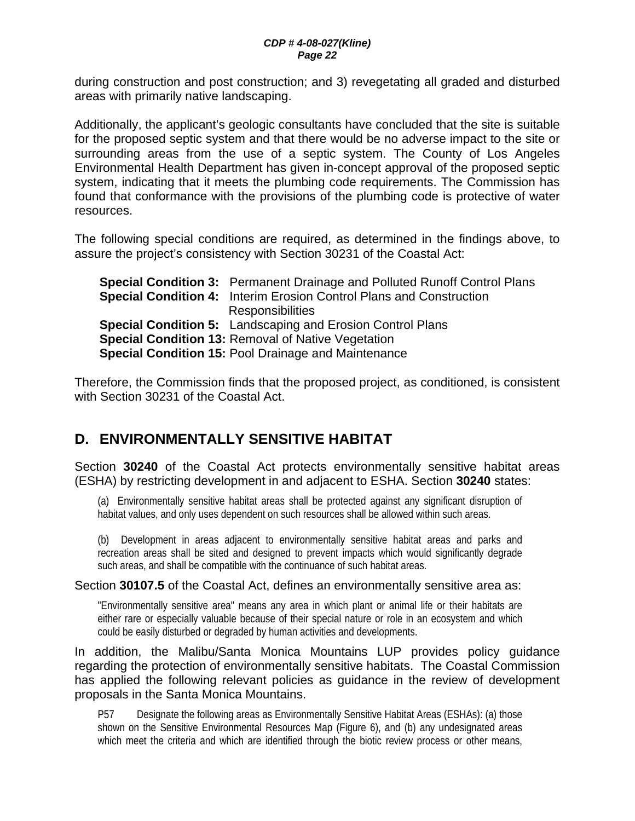during construction and post construction; and 3) revegetating all graded and disturbed areas with primarily native landscaping.

Additionally, the applicant's geologic consultants have concluded that the site is suitable for the proposed septic system and that there would be no adverse impact to the site or surrounding areas from the use of a septic system. The County of Los Angeles Environmental Health Department has given in-concept approval of the proposed septic system, indicating that it meets the plumbing code requirements. The Commission has found that conformance with the provisions of the plumbing code is protective of water resources.

The following special conditions are required, as determined in the findings above, to assure the project's consistency with Section 30231 of the Coastal Act:

**Special Condition 3:** Permanent Drainage and Polluted Runoff Control Plans **Special Condition 4:** Interim Erosion Control Plans and Construction **Responsibilities Special Condition 5:** Landscaping and Erosion Control Plans **Special Condition 13:** Removal of Native Vegetation **Special Condition 15:** Pool Drainage and Maintenance

Therefore, the Commission finds that the proposed project, as conditioned, is consistent with Section 30231 of the Coastal Act.

# **D. ENVIRONMENTALLY SENSITIVE HABITAT**

Section **30240** of the Coastal Act protects environmentally sensitive habitat areas (ESHA) by restricting development in and adjacent to ESHA. Section **30240** states:

(a) Environmentally sensitive habitat areas shall be protected against any significant disruption of habitat values, and only uses dependent on such resources shall be allowed within such areas.

(b) Development in areas adjacent to environmentally sensitive habitat areas and parks and recreation areas shall be sited and designed to prevent impacts which would significantly degrade such areas, and shall be compatible with the continuance of such habitat areas.

#### Section **30107.5** of the Coastal Act, defines an environmentally sensitive area as:

"Environmentally sensitive area" means any area in which plant or animal life or their habitats are either rare or especially valuable because of their special nature or role in an ecosystem and which could be easily disturbed or degraded by human activities and developments.

In addition, the Malibu/Santa Monica Mountains LUP provides policy guidance regarding the protection of environmentally sensitive habitats. The Coastal Commission has applied the following relevant policies as guidance in the review of development proposals in the Santa Monica Mountains.

P57 Designate the following areas as Environmentally Sensitive Habitat Areas (ESHAs): (a) those shown on the Sensitive Environmental Resources Map (Figure 6), and (b) any undesignated areas which meet the criteria and which are identified through the biotic review process or other means,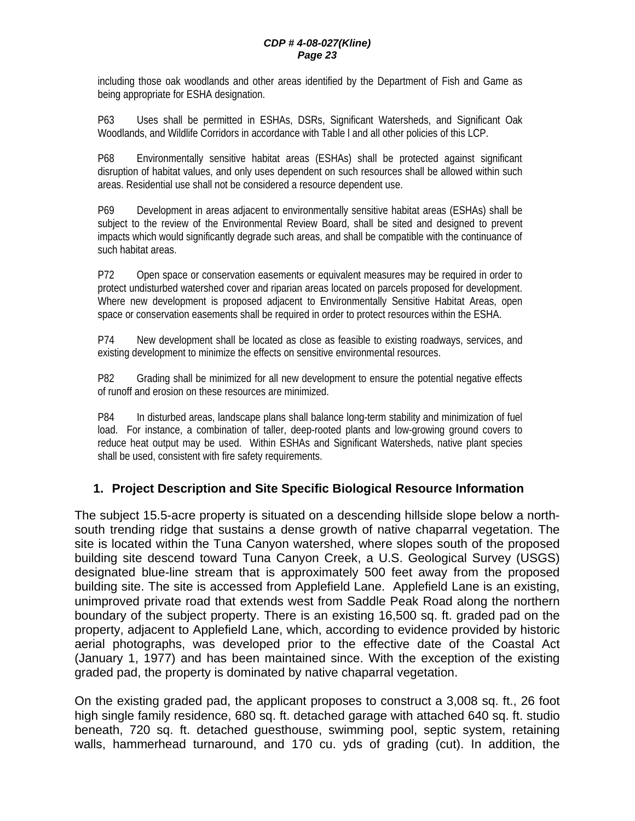including those oak woodlands and other areas identified by the Department of Fish and Game as being appropriate for ESHA designation.

P63 Uses shall be permitted in ESHAs, DSRs, Significant Watersheds, and Significant Oak Woodlands, and Wildlife Corridors in accordance with Table l and all other policies of this LCP.

P68 Environmentally sensitive habitat areas (ESHAs) shall be protected against significant disruption of habitat values, and only uses dependent on such resources shall be allowed within such areas. Residential use shall not be considered a resource dependent use.

P69 Development in areas adjacent to environmentally sensitive habitat areas (ESHAs) shall be subject to the review of the Environmental Review Board, shall be sited and designed to prevent impacts which would significantly degrade such areas, and shall be compatible with the continuance of such habitat areas.

P72 Open space or conservation easements or equivalent measures may be required in order to protect undisturbed watershed cover and riparian areas located on parcels proposed for development. Where new development is proposed adjacent to Environmentally Sensitive Habitat Areas, open space or conservation easements shall be required in order to protect resources within the ESHA.

P74 New development shall be located as close as feasible to existing roadways, services, and existing development to minimize the effects on sensitive environmental resources.

P82 Grading shall be minimized for all new development to ensure the potential negative effects of runoff and erosion on these resources are minimized.

P84 In disturbed areas, landscape plans shall balance long-term stability and minimization of fuel load. For instance, a combination of taller, deep-rooted plants and low-growing ground covers to reduce heat output may be used. Within ESHAs and Significant Watersheds, native plant species shall be used, consistent with fire safety requirements.

## **1. Project Description and Site Specific Biological Resource Information**

The subject 15.5-acre property is situated on a descending hillside slope below a northsouth trending ridge that sustains a dense growth of native chaparral vegetation. The site is located within the Tuna Canyon watershed, where slopes south of the proposed building site descend toward Tuna Canyon Creek, a U.S. Geological Survey (USGS) designated blue-line stream that is approximately 500 feet away from the proposed building site. The site is accessed from Applefield Lane. Applefield Lane is an existing, unimproved private road that extends west from Saddle Peak Road along the northern boundary of the subject property. There is an existing 16,500 sq. ft. graded pad on the property, adjacent to Applefield Lane, which, according to evidence provided by historic aerial photographs, was developed prior to the effective date of the Coastal Act (January 1, 1977) and has been maintained since. With the exception of the existing graded pad, the property is dominated by native chaparral vegetation.

On the existing graded pad, the applicant proposes to construct a 3,008 sq. ft., 26 foot high single family residence, 680 sq. ft. detached garage with attached 640 sq. ft. studio beneath, 720 sq. ft. detached guesthouse, swimming pool, septic system, retaining walls, hammerhead turnaround, and 170 cu. yds of grading (cut). In addition, the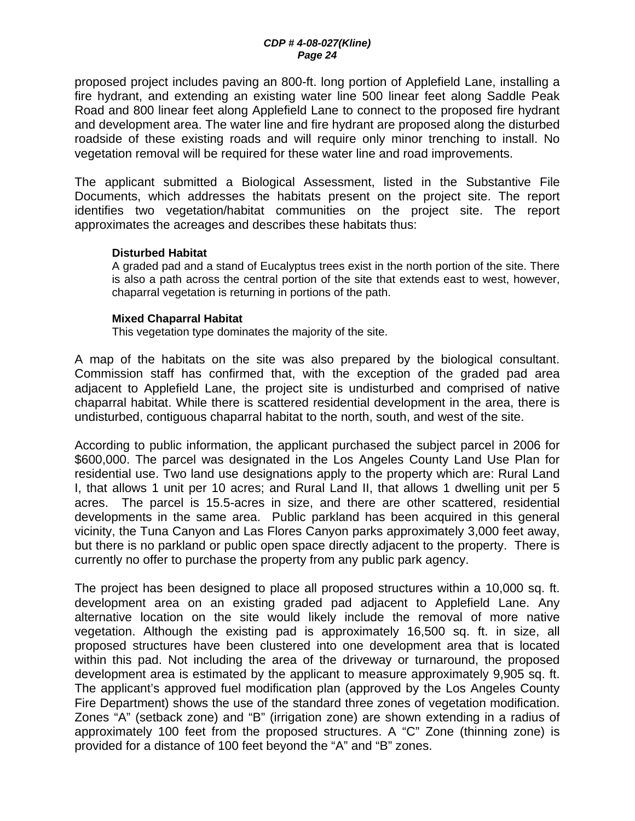proposed project includes paving an 800-ft. long portion of Applefield Lane, installing a fire hydrant, and extending an existing water line 500 linear feet along Saddle Peak Road and 800 linear feet along Applefield Lane to connect to the proposed fire hydrant and development area. The water line and fire hydrant are proposed along the disturbed roadside of these existing roads and will require only minor trenching to install. No vegetation removal will be required for these water line and road improvements.

The applicant submitted a Biological Assessment, listed in the Substantive File Documents, which addresses the habitats present on the project site. The report identifies two vegetation/habitat communities on the project site. The report approximates the acreages and describes these habitats thus:

#### **Disturbed Habitat**

A graded pad and a stand of Eucalyptus trees exist in the north portion of the site. There is also a path across the central portion of the site that extends east to west, however, chaparral vegetation is returning in portions of the path.

#### **Mixed Chaparral Habitat**

This vegetation type dominates the majority of the site.

A map of the habitats on the site was also prepared by the biological consultant. Commission staff has confirmed that, with the exception of the graded pad area adjacent to Applefield Lane, the project site is undisturbed and comprised of native chaparral habitat. While there is scattered residential development in the area, there is undisturbed, contiguous chaparral habitat to the north, south, and west of the site.

According to public information, the applicant purchased the subject parcel in 2006 for \$600,000. The parcel was designated in the Los Angeles County Land Use Plan for residential use. Two land use designations apply to the property which are: Rural Land I, that allows 1 unit per 10 acres; and Rural Land II, that allows 1 dwelling unit per 5 acres. The parcel is 15.5-acres in size, and there are other scattered, residential developments in the same area. Public parkland has been acquired in this general vicinity, the Tuna Canyon and Las Flores Canyon parks approximately 3,000 feet away, but there is no parkland or public open space directly adjacent to the property. There is currently no offer to purchase the property from any public park agency.

The project has been designed to place all proposed structures within a 10,000 sq. ft. development area on an existing graded pad adjacent to Applefield Lane. Any alternative location on the site would likely include the removal of more native vegetation. Although the existing pad is approximately 16,500 sq. ft. in size, all proposed structures have been clustered into one development area that is located within this pad. Not including the area of the driveway or turnaround, the proposed development area is estimated by the applicant to measure approximately 9,905 sq. ft. The applicant's approved fuel modification plan (approved by the Los Angeles County Fire Department) shows the use of the standard three zones of vegetation modification. Zones "A" (setback zone) and "B" (irrigation zone) are shown extending in a radius of approximately 100 feet from the proposed structures. A "C" Zone (thinning zone) is provided for a distance of 100 feet beyond the "A" and "B" zones.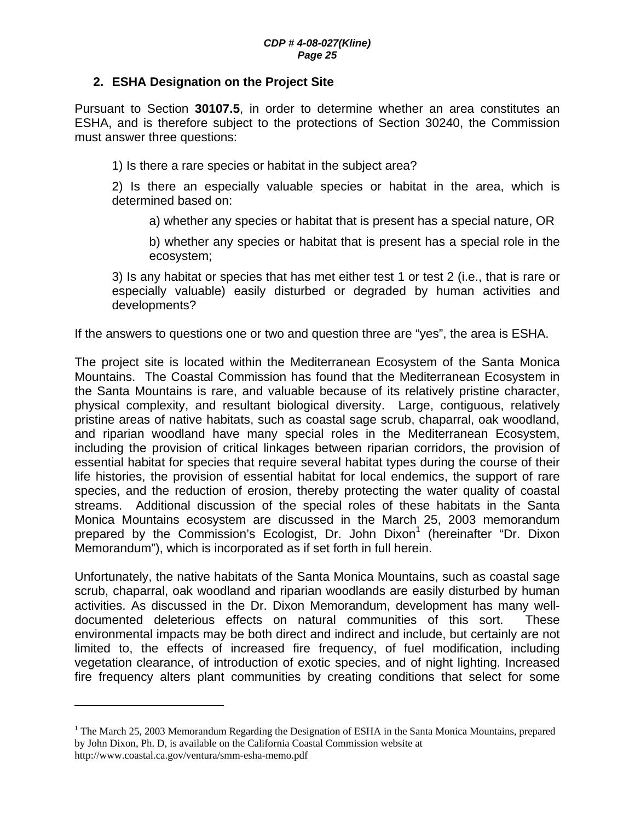#### **2. ESHA Designation on the Project Site**

Pursuant to Section **30107.5**, in order to determine whether an area constitutes an ESHA, and is therefore subject to the protections of Section 30240, the Commission must answer three questions:

1) Is there a rare species or habitat in the subject area?

2) Is there an especially valuable species or habitat in the area, which is determined based on:

a) whether any species or habitat that is present has a special nature, OR

b) whether any species or habitat that is present has a special role in the ecosystem;

3) Is any habitat or species that has met either test 1 or test 2 (i.e., that is rare or especially valuable) easily disturbed or degraded by human activities and developments?

If the answers to questions one or two and question three are "yes", the area is ESHA.

The project site is located within the Mediterranean Ecosystem of the Santa Monica Mountains. The Coastal Commission has found that the Mediterranean Ecosystem in the Santa Mountains is rare, and valuable because of its relatively pristine character, physical complexity, and resultant biological diversity. Large, contiguous, relatively pristine areas of native habitats, such as coastal sage scrub, chaparral, oak woodland, and riparian woodland have many special roles in the Mediterranean Ecosystem, including the provision of critical linkages between riparian corridors, the provision of essential habitat for species that require several habitat types during the course of their life histories, the provision of essential habitat for local endemics, the support of rare species, and the reduction of erosion, thereby protecting the water quality of coastal streams. Additional discussion of the special roles of these habitats in the Santa Monica Mountains ecosystem are discussed in the March 25, 2003 memorandum prepared by the Commission's Ecologist, Dr. John Dixon<sup>1</sup> (hereinafter "Dr. Dixon Memorandum"), which is incorporated as if set forth in full herein.

Unfortunately, the native habitats of the Santa Monica Mountains, such as coastal sage scrub, chaparral, oak woodland and riparian woodlands are easily disturbed by human activities. As discussed in the Dr. Dixon Memorandum, development has many welldocumented deleterious effects on natural communities of this sort. These environmental impacts may be both direct and indirect and include, but certainly are not limited to, the effects of increased fire frequency, of fuel modification, including vegetation clearance, of introduction of exotic species, and of night lighting. Increased fire frequency alters plant communities by creating conditions that select for some

 $\overline{a}$ 

<sup>&</sup>lt;sup>1</sup> The March 25, 2003 Memorandum Regarding the Designation of ESHA in the Santa Monica Mountains, prepared by John Dixon, Ph. D, is available on the California Coastal Commission website at http://www.coastal.ca.gov/ventura/smm-esha-memo.pdf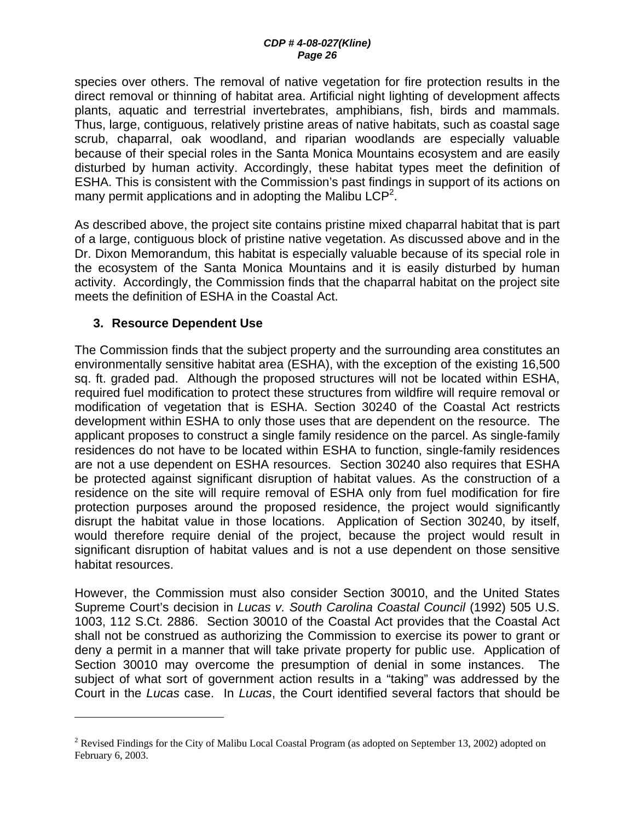species over others. The removal of native vegetation for fire protection results in the direct removal or thinning of habitat area. Artificial night lighting of development affects plants, aquatic and terrestrial invertebrates, amphibians, fish, birds and mammals. Thus, large, contiguous, relatively pristine areas of native habitats, such as coastal sage scrub, chaparral, oak woodland, and riparian woodlands are especially valuable because of their special roles in the Santa Monica Mountains ecosystem and are easily disturbed by human activity. Accordingly, these habitat types meet the definition of ESHA. This is consistent with the Commission's past findings in support of its actions on many permit applications and in adopting the Malibu LCP<sup>2</sup>.

As described above, the project site contains pristine mixed chaparral habitat that is part of a large, contiguous block of pristine native vegetation. As discussed above and in the Dr. Dixon Memorandum, this habitat is especially valuable because of its special role in the ecosystem of the Santa Monica Mountains and it is easily disturbed by human activity. Accordingly, the Commission finds that the chaparral habitat on the project site meets the definition of ESHA in the Coastal Act.

## **3. Resource Dependent Use**

 $\overline{a}$ 

The Commission finds that the subject property and the surrounding area constitutes an environmentally sensitive habitat area (ESHA), with the exception of the existing 16,500 sq. ft. graded pad. Although the proposed structures will not be located within ESHA, required fuel modification to protect these structures from wildfire will require removal or modification of vegetation that is ESHA. Section 30240 of the Coastal Act restricts development within ESHA to only those uses that are dependent on the resource. The applicant proposes to construct a single family residence on the parcel. As single-family residences do not have to be located within ESHA to function, single-family residences are not a use dependent on ESHA resources. Section 30240 also requires that ESHA be protected against significant disruption of habitat values. As the construction of a residence on the site will require removal of ESHA only from fuel modification for fire protection purposes around the proposed residence, the project would significantly disrupt the habitat value in those locations. Application of Section 30240, by itself, would therefore require denial of the project, because the project would result in significant disruption of habitat values and is not a use dependent on those sensitive habitat resources.

However, the Commission must also consider Section 30010, and the United States Supreme Court's decision in *Lucas v. South Carolina Coastal Council* (1992) 505 U.S. 1003, 112 S.Ct. 2886. Section 30010 of the Coastal Act provides that the Coastal Act shall not be construed as authorizing the Commission to exercise its power to grant or deny a permit in a manner that will take private property for public use. Application of Section 30010 may overcome the presumption of denial in some instances. The subject of what sort of government action results in a "taking" was addressed by the Court in the *Lucas* case. In *Lucas*, the Court identified several factors that should be

<sup>&</sup>lt;sup>2</sup> Revised Findings for the City of Malibu Local Coastal Program (as adopted on September 13, 2002) adopted on February 6, 2003.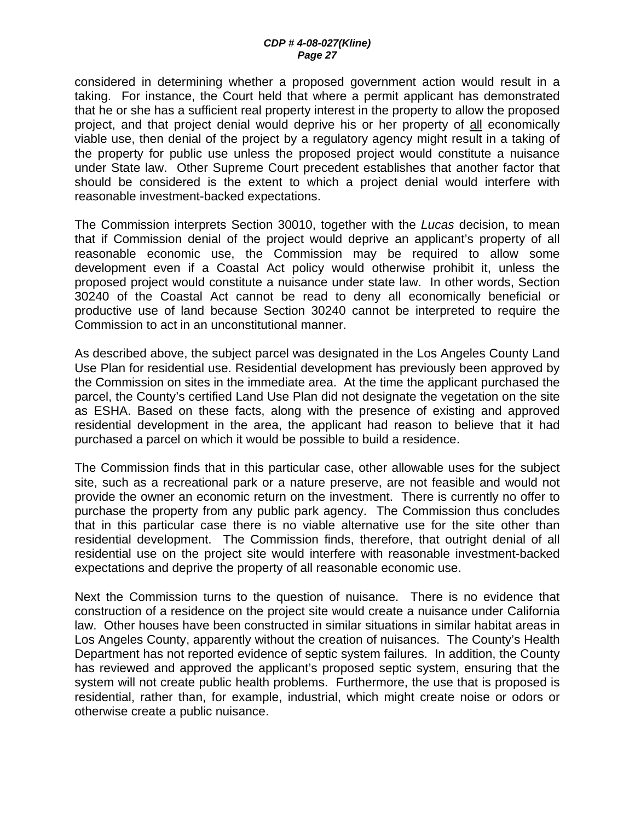considered in determining whether a proposed government action would result in a taking. For instance, the Court held that where a permit applicant has demonstrated that he or she has a sufficient real property interest in the property to allow the proposed project, and that project denial would deprive his or her property of all economically viable use, then denial of the project by a regulatory agency might result in a taking of the property for public use unless the proposed project would constitute a nuisance under State law. Other Supreme Court precedent establishes that another factor that should be considered is the extent to which a project denial would interfere with reasonable investment-backed expectations.

The Commission interprets Section 30010, together with the *Lucas* decision, to mean that if Commission denial of the project would deprive an applicant's property of all reasonable economic use, the Commission may be required to allow some development even if a Coastal Act policy would otherwise prohibit it, unless the proposed project would constitute a nuisance under state law. In other words, Section 30240 of the Coastal Act cannot be read to deny all economically beneficial or productive use of land because Section 30240 cannot be interpreted to require the Commission to act in an unconstitutional manner.

As described above, the subject parcel was designated in the Los Angeles County Land Use Plan for residential use. Residential development has previously been approved by the Commission on sites in the immediate area. At the time the applicant purchased the parcel, the County's certified Land Use Plan did not designate the vegetation on the site as ESHA. Based on these facts, along with the presence of existing and approved residential development in the area, the applicant had reason to believe that it had purchased a parcel on which it would be possible to build a residence.

The Commission finds that in this particular case, other allowable uses for the subject site, such as a recreational park or a nature preserve, are not feasible and would not provide the owner an economic return on the investment. There is currently no offer to purchase the property from any public park agency. The Commission thus concludes that in this particular case there is no viable alternative use for the site other than residential development. The Commission finds, therefore, that outright denial of all residential use on the project site would interfere with reasonable investment-backed expectations and deprive the property of all reasonable economic use.

Next the Commission turns to the question of nuisance. There is no evidence that construction of a residence on the project site would create a nuisance under California law. Other houses have been constructed in similar situations in similar habitat areas in Los Angeles County, apparently without the creation of nuisances. The County's Health Department has not reported evidence of septic system failures. In addition, the County has reviewed and approved the applicant's proposed septic system, ensuring that the system will not create public health problems. Furthermore, the use that is proposed is residential, rather than, for example, industrial, which might create noise or odors or otherwise create a public nuisance.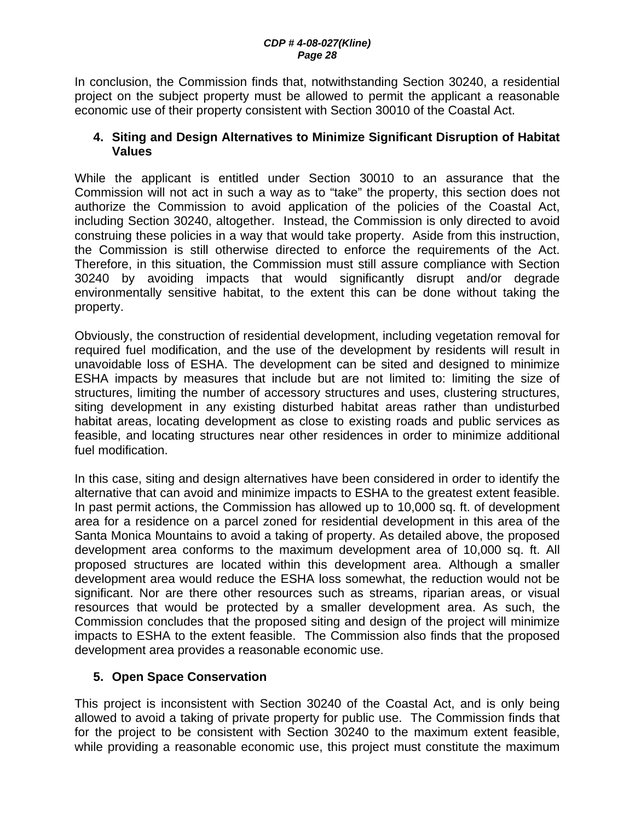In conclusion, the Commission finds that, notwithstanding Section 30240, a residential project on the subject property must be allowed to permit the applicant a reasonable economic use of their property consistent with Section 30010 of the Coastal Act.

#### **4. Siting and Design Alternatives to Minimize Significant Disruption of Habitat Values**

While the applicant is entitled under Section 30010 to an assurance that the Commission will not act in such a way as to "take" the property, this section does not authorize the Commission to avoid application of the policies of the Coastal Act, including Section 30240, altogether. Instead, the Commission is only directed to avoid construing these policies in a way that would take property. Aside from this instruction, the Commission is still otherwise directed to enforce the requirements of the Act. Therefore, in this situation, the Commission must still assure compliance with Section 30240 by avoiding impacts that would significantly disrupt and/or degrade environmentally sensitive habitat, to the extent this can be done without taking the property.

Obviously, the construction of residential development, including vegetation removal for required fuel modification, and the use of the development by residents will result in unavoidable loss of ESHA. The development can be sited and designed to minimize ESHA impacts by measures that include but are not limited to: limiting the size of structures, limiting the number of accessory structures and uses, clustering structures, siting development in any existing disturbed habitat areas rather than undisturbed habitat areas, locating development as close to existing roads and public services as feasible, and locating structures near other residences in order to minimize additional fuel modification.

In this case, siting and design alternatives have been considered in order to identify the alternative that can avoid and minimize impacts to ESHA to the greatest extent feasible. In past permit actions, the Commission has allowed up to 10,000 sq. ft. of development area for a residence on a parcel zoned for residential development in this area of the Santa Monica Mountains to avoid a taking of property. As detailed above, the proposed development area conforms to the maximum development area of 10,000 sq. ft. All proposed structures are located within this development area. Although a smaller development area would reduce the ESHA loss somewhat, the reduction would not be significant. Nor are there other resources such as streams, riparian areas, or visual resources that would be protected by a smaller development area. As such, the Commission concludes that the proposed siting and design of the project will minimize impacts to ESHA to the extent feasible. The Commission also finds that the proposed development area provides a reasonable economic use.

## **5. Open Space Conservation**

This project is inconsistent with Section 30240 of the Coastal Act, and is only being allowed to avoid a taking of private property for public use. The Commission finds that for the project to be consistent with Section 30240 to the maximum extent feasible, while providing a reasonable economic use, this project must constitute the maximum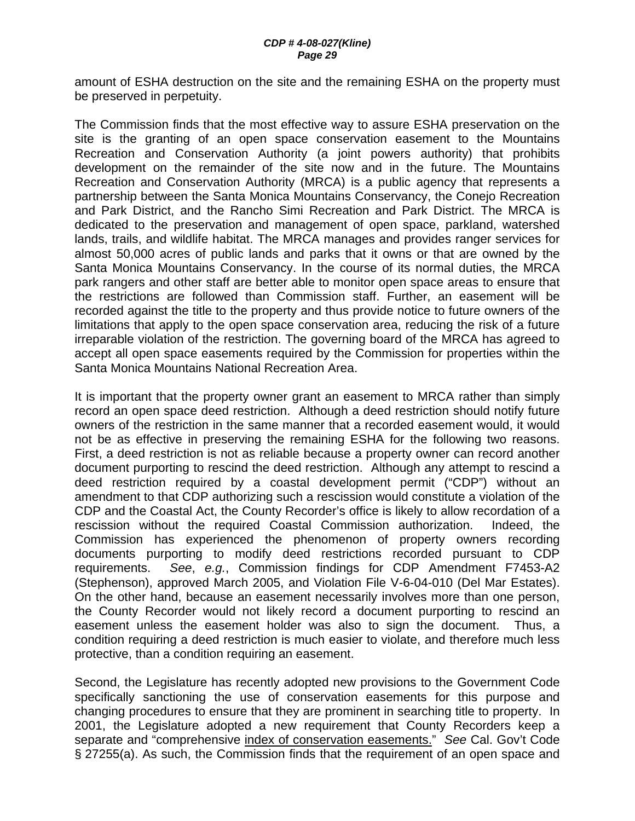amount of ESHA destruction on the site and the remaining ESHA on the property must be preserved in perpetuity.

The Commission finds that the most effective way to assure ESHA preservation on the site is the granting of an open space conservation easement to the Mountains Recreation and Conservation Authority (a joint powers authority) that prohibits development on the remainder of the site now and in the future. The Mountains Recreation and Conservation Authority (MRCA) is a public agency that represents a partnership between the Santa Monica Mountains Conservancy, the Conejo Recreation and Park District, and the Rancho Simi Recreation and Park District. The MRCA is dedicated to the preservation and management of open space, parkland, watershed lands, trails, and wildlife habitat. The MRCA manages and provides ranger services for almost 50,000 acres of public lands and parks that it owns or that are owned by the Santa Monica Mountains Conservancy. In the course of its normal duties, the MRCA park rangers and other staff are better able to monitor open space areas to ensure that the restrictions are followed than Commission staff. Further, an easement will be recorded against the title to the property and thus provide notice to future owners of the limitations that apply to the open space conservation area, reducing the risk of a future irreparable violation of the restriction. The governing board of the MRCA has agreed to accept all open space easements required by the Commission for properties within the Santa Monica Mountains National Recreation Area.

It is important that the property owner grant an easement to MRCA rather than simply record an open space deed restriction. Although a deed restriction should notify future owners of the restriction in the same manner that a recorded easement would, it would not be as effective in preserving the remaining ESHA for the following two reasons. First, a deed restriction is not as reliable because a property owner can record another document purporting to rescind the deed restriction. Although any attempt to rescind a deed restriction required by a coastal development permit ("CDP") without an amendment to that CDP authorizing such a rescission would constitute a violation of the CDP and the Coastal Act, the County Recorder's office is likely to allow recordation of a rescission without the required Coastal Commission authorization. Indeed, the Commission has experienced the phenomenon of property owners recording documents purporting to modify deed restrictions recorded pursuant to CDP requirements. *See*, *e.g.*, Commission findings for CDP Amendment F7453-A2 (Stephenson), approved March 2005, and Violation File V-6-04-010 (Del Mar Estates). On the other hand, because an easement necessarily involves more than one person, the County Recorder would not likely record a document purporting to rescind an easement unless the easement holder was also to sign the document. Thus, a condition requiring a deed restriction is much easier to violate, and therefore much less protective, than a condition requiring an easement.

Second, the Legislature has recently adopted new provisions to the Government Code specifically sanctioning the use of conservation easements for this purpose and changing procedures to ensure that they are prominent in searching title to property. In 2001, the Legislature adopted a new requirement that County Recorders keep a separate and "comprehensive index of conservation easements." *See* Cal. Gov't Code § 27255(a). As such, the Commission finds that the requirement of an open space and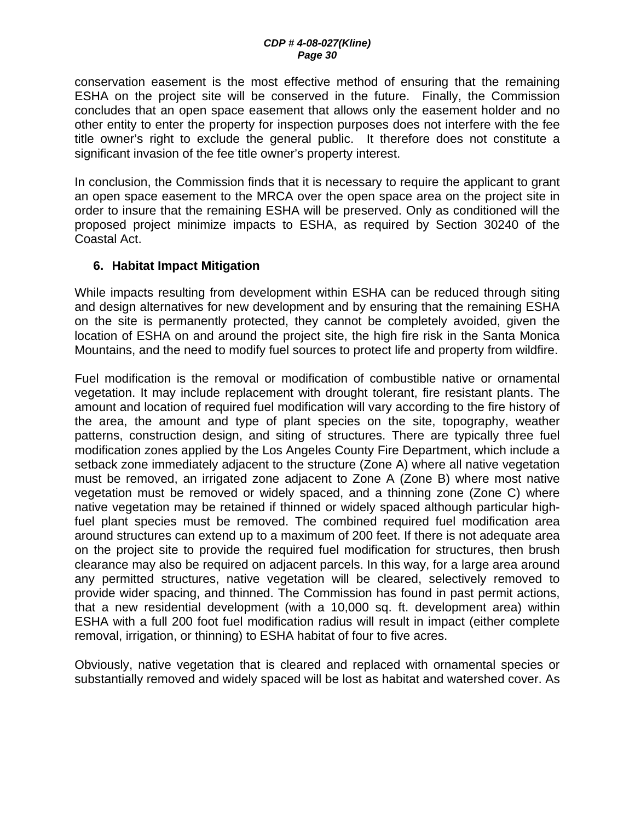conservation easement is the most effective method of ensuring that the remaining ESHA on the project site will be conserved in the future. Finally, the Commission concludes that an open space easement that allows only the easement holder and no other entity to enter the property for inspection purposes does not interfere with the fee title owner's right to exclude the general public. It therefore does not constitute a significant invasion of the fee title owner's property interest.

In conclusion, the Commission finds that it is necessary to require the applicant to grant an open space easement to the MRCA over the open space area on the project site in order to insure that the remaining ESHA will be preserved. Only as conditioned will the proposed project minimize impacts to ESHA, as required by Section 30240 of the Coastal Act.

## **6. Habitat Impact Mitigation**

While impacts resulting from development within ESHA can be reduced through siting and design alternatives for new development and by ensuring that the remaining ESHA on the site is permanently protected, they cannot be completely avoided, given the location of ESHA on and around the project site, the high fire risk in the Santa Monica Mountains, and the need to modify fuel sources to protect life and property from wildfire.

Fuel modification is the removal or modification of combustible native or ornamental vegetation. It may include replacement with drought tolerant, fire resistant plants. The amount and location of required fuel modification will vary according to the fire history of the area, the amount and type of plant species on the site, topography, weather patterns, construction design, and siting of structures. There are typically three fuel modification zones applied by the Los Angeles County Fire Department, which include a setback zone immediately adjacent to the structure (Zone A) where all native vegetation must be removed, an irrigated zone adjacent to Zone A (Zone B) where most native vegetation must be removed or widely spaced, and a thinning zone (Zone C) where native vegetation may be retained if thinned or widely spaced although particular highfuel plant species must be removed. The combined required fuel modification area around structures can extend up to a maximum of 200 feet. If there is not adequate area on the project site to provide the required fuel modification for structures, then brush clearance may also be required on adjacent parcels. In this way, for a large area around any permitted structures, native vegetation will be cleared, selectively removed to provide wider spacing, and thinned. The Commission has found in past permit actions, that a new residential development (with a 10,000 sq. ft. development area) within ESHA with a full 200 foot fuel modification radius will result in impact (either complete removal, irrigation, or thinning) to ESHA habitat of four to five acres.

Obviously, native vegetation that is cleared and replaced with ornamental species or substantially removed and widely spaced will be lost as habitat and watershed cover. As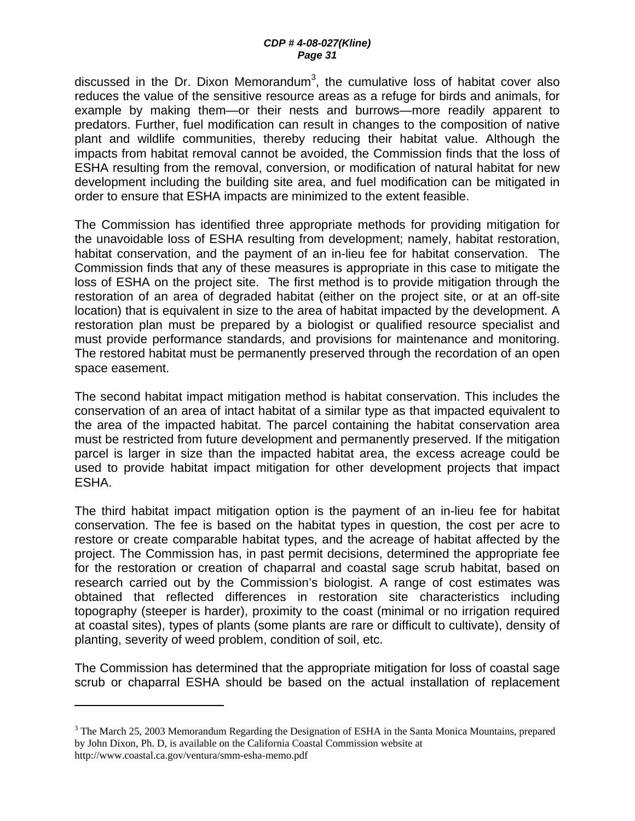discussed in the Dr. Dixon Memorandum<sup>3</sup>, the cumulative loss of habitat cover also reduces the value of the sensitive resource areas as a refuge for birds and animals, for example by making them—or their nests and burrows—more readily apparent to predators. Further, fuel modification can result in changes to the composition of native plant and wildlife communities, thereby reducing their habitat value. Although the impacts from habitat removal cannot be avoided, the Commission finds that the loss of ESHA resulting from the removal, conversion, or modification of natural habitat for new development including the building site area, and fuel modification can be mitigated in order to ensure that ESHA impacts are minimized to the extent feasible.

The Commission has identified three appropriate methods for providing mitigation for the unavoidable loss of ESHA resulting from development; namely, habitat restoration, habitat conservation, and the payment of an in-lieu fee for habitat conservation. The Commission finds that any of these measures is appropriate in this case to mitigate the loss of ESHA on the project site. The first method is to provide mitigation through the restoration of an area of degraded habitat (either on the project site, or at an off-site location) that is equivalent in size to the area of habitat impacted by the development. A restoration plan must be prepared by a biologist or qualified resource specialist and must provide performance standards, and provisions for maintenance and monitoring. The restored habitat must be permanently preserved through the recordation of an open space easement.

The second habitat impact mitigation method is habitat conservation. This includes the conservation of an area of intact habitat of a similar type as that impacted equivalent to the area of the impacted habitat. The parcel containing the habitat conservation area must be restricted from future development and permanently preserved. If the mitigation parcel is larger in size than the impacted habitat area, the excess acreage could be used to provide habitat impact mitigation for other development projects that impact ESHA.

The third habitat impact mitigation option is the payment of an in-lieu fee for habitat conservation. The fee is based on the habitat types in question, the cost per acre to restore or create comparable habitat types, and the acreage of habitat affected by the project. The Commission has, in past permit decisions, determined the appropriate fee for the restoration or creation of chaparral and coastal sage scrub habitat, based on research carried out by the Commission's biologist. A range of cost estimates was obtained that reflected differences in restoration site characteristics including topography (steeper is harder), proximity to the coast (minimal or no irrigation required at coastal sites), types of plants (some plants are rare or difficult to cultivate), density of planting, severity of weed problem, condition of soil, etc.

The Commission has determined that the appropriate mitigation for loss of coastal sage scrub or chaparral ESHA should be based on the actual installation of replacement

1

 $3$  The March 25, 2003 Memorandum Regarding the Designation of ESHA in the Santa Monica Mountains, prepared by John Dixon, Ph. D, is available on the California Coastal Commission website at http://www.coastal.ca.gov/ventura/smm-esha-memo.pdf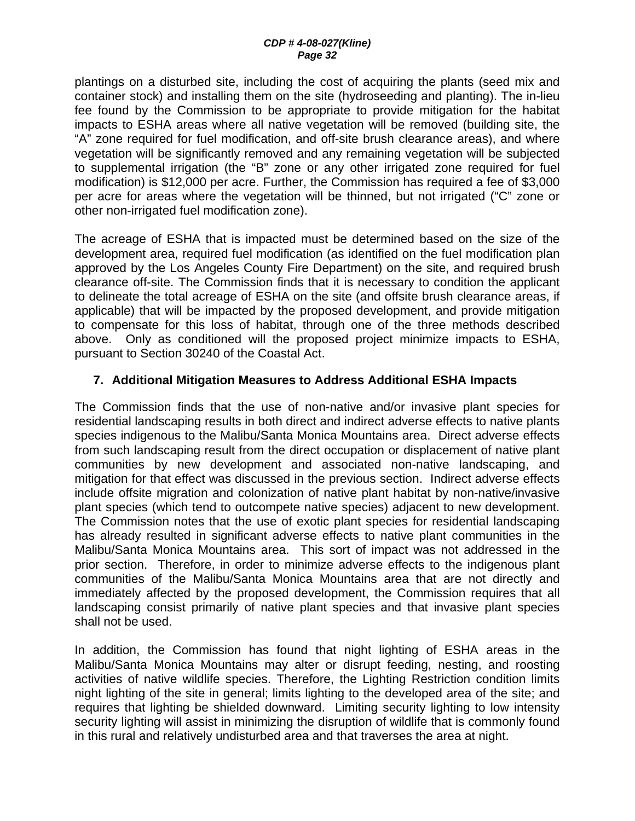#### *CDP # 4-08-027(Kline) Page 32*

plantings on a disturbed site, including the cost of acquiring the plants (seed mix and container stock) and installing them on the site (hydroseeding and planting). The in-lieu fee found by the Commission to be appropriate to provide mitigation for the habitat impacts to ESHA areas where all native vegetation will be removed (building site, the "A" zone required for fuel modification, and off-site brush clearance areas), and where vegetation will be significantly removed and any remaining vegetation will be subjected to supplemental irrigation (the "B" zone or any other irrigated zone required for fuel modification) is \$12,000 per acre. Further, the Commission has required a fee of \$3,000 per acre for areas where the vegetation will be thinned, but not irrigated ("C" zone or other non-irrigated fuel modification zone).

The acreage of ESHA that is impacted must be determined based on the size of the development area, required fuel modification (as identified on the fuel modification plan approved by the Los Angeles County Fire Department) on the site, and required brush clearance off-site. The Commission finds that it is necessary to condition the applicant to delineate the total acreage of ESHA on the site (and offsite brush clearance areas, if applicable) that will be impacted by the proposed development, and provide mitigation to compensate for this loss of habitat, through one of the three methods described above. Only as conditioned will the proposed project minimize impacts to ESHA, pursuant to Section 30240 of the Coastal Act.

## **7. Additional Mitigation Measures to Address Additional ESHA Impacts**

The Commission finds that the use of non-native and/or invasive plant species for residential landscaping results in both direct and indirect adverse effects to native plants species indigenous to the Malibu/Santa Monica Mountains area. Direct adverse effects from such landscaping result from the direct occupation or displacement of native plant communities by new development and associated non-native landscaping, and mitigation for that effect was discussed in the previous section. Indirect adverse effects include offsite migration and colonization of native plant habitat by non-native/invasive plant species (which tend to outcompete native species) adjacent to new development. The Commission notes that the use of exotic plant species for residential landscaping has already resulted in significant adverse effects to native plant communities in the Malibu/Santa Monica Mountains area. This sort of impact was not addressed in the prior section. Therefore, in order to minimize adverse effects to the indigenous plant communities of the Malibu/Santa Monica Mountains area that are not directly and immediately affected by the proposed development, the Commission requires that all landscaping consist primarily of native plant species and that invasive plant species shall not be used.

In addition, the Commission has found that night lighting of ESHA areas in the Malibu/Santa Monica Mountains may alter or disrupt feeding, nesting, and roosting activities of native wildlife species. Therefore, the Lighting Restriction condition limits night lighting of the site in general; limits lighting to the developed area of the site; and requires that lighting be shielded downward. Limiting security lighting to low intensity security lighting will assist in minimizing the disruption of wildlife that is commonly found in this rural and relatively undisturbed area and that traverses the area at night.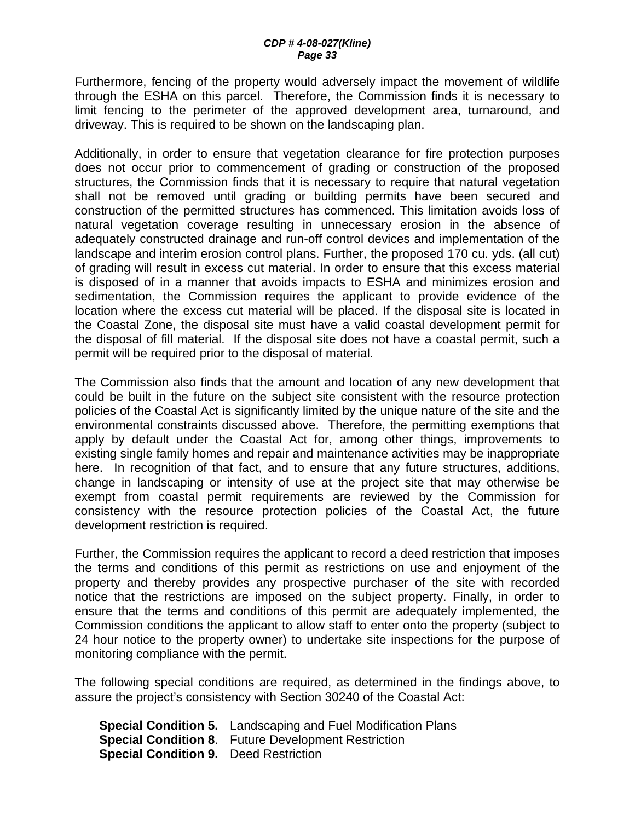Furthermore, fencing of the property would adversely impact the movement of wildlife through the ESHA on this parcel. Therefore, the Commission finds it is necessary to limit fencing to the perimeter of the approved development area, turnaround, and driveway. This is required to be shown on the landscaping plan.

Additionally, in order to ensure that vegetation clearance for fire protection purposes does not occur prior to commencement of grading or construction of the proposed structures, the Commission finds that it is necessary to require that natural vegetation shall not be removed until grading or building permits have been secured and construction of the permitted structures has commenced. This limitation avoids loss of natural vegetation coverage resulting in unnecessary erosion in the absence of adequately constructed drainage and run-off control devices and implementation of the landscape and interim erosion control plans. Further, the proposed 170 cu. yds. (all cut) of grading will result in excess cut material. In order to ensure that this excess material is disposed of in a manner that avoids impacts to ESHA and minimizes erosion and sedimentation, the Commission requires the applicant to provide evidence of the location where the excess cut material will be placed. If the disposal site is located in the Coastal Zone, the disposal site must have a valid coastal development permit for the disposal of fill material. If the disposal site does not have a coastal permit, such a permit will be required prior to the disposal of material.

The Commission also finds that the amount and location of any new development that could be built in the future on the subject site consistent with the resource protection policies of the Coastal Act is significantly limited by the unique nature of the site and the environmental constraints discussed above. Therefore, the permitting exemptions that apply by default under the Coastal Act for, among other things, improvements to existing single family homes and repair and maintenance activities may be inappropriate here. In recognition of that fact, and to ensure that any future structures, additions, change in landscaping or intensity of use at the project site that may otherwise be exempt from coastal permit requirements are reviewed by the Commission for consistency with the resource protection policies of the Coastal Act, the future development restriction is required.

Further, the Commission requires the applicant to record a deed restriction that imposes the terms and conditions of this permit as restrictions on use and enjoyment of the property and thereby provides any prospective purchaser of the site with recorded notice that the restrictions are imposed on the subject property. Finally, in order to ensure that the terms and conditions of this permit are adequately implemented, the Commission conditions the applicant to allow staff to enter onto the property (subject to 24 hour notice to the property owner) to undertake site inspections for the purpose of monitoring compliance with the permit.

The following special conditions are required, as determined in the findings above, to assure the project's consistency with Section 30240 of the Coastal Act:

**Special Condition 5.** Landscaping and Fuel Modification Plans **Special Condition 8**. Future Development Restriction **Special Condition 9.** Deed Restriction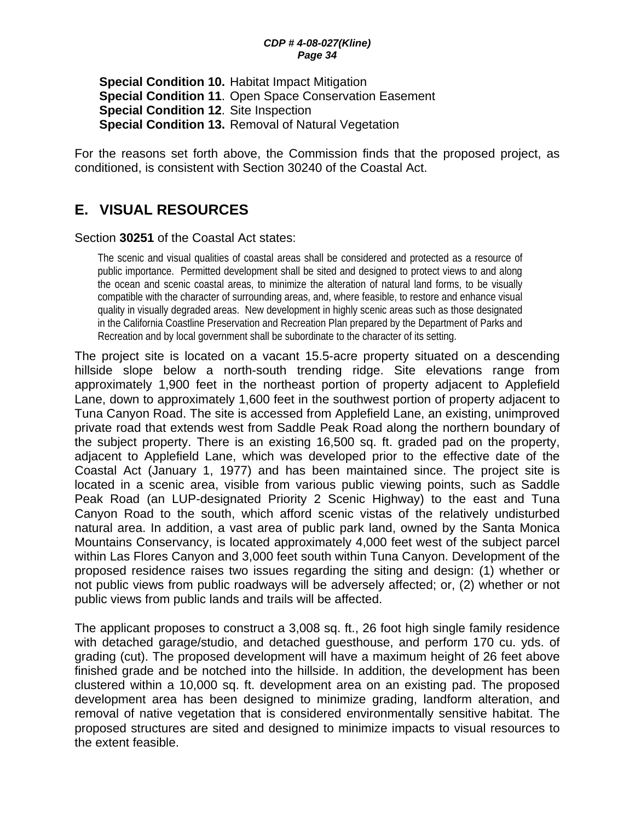#### *CDP # 4-08-027(Kline) Page 34*

**Special Condition 10.** Habitat Impact Mitigation **Special Condition 11**. Open Space Conservation Easement **Special Condition 12**. Site Inspection **Special Condition 13.** Removal of Natural Vegetation

For the reasons set forth above, the Commission finds that the proposed project, as conditioned, is consistent with Section 30240 of the Coastal Act.

# **E. VISUAL RESOURCES**

#### Section **30251** of the Coastal Act states:

The scenic and visual qualities of coastal areas shall be considered and protected as a resource of public importance. Permitted development shall be sited and designed to protect views to and along the ocean and scenic coastal areas, to minimize the alteration of natural land forms, to be visually compatible with the character of surrounding areas, and, where feasible, to restore and enhance visual quality in visually degraded areas. New development in highly scenic areas such as those designated in the California Coastline Preservation and Recreation Plan prepared by the Department of Parks and Recreation and by local government shall be subordinate to the character of its setting.

The project site is located on a vacant 15.5-acre property situated on a descending hillside slope below a north-south trending ridge. Site elevations range from approximately 1,900 feet in the northeast portion of property adjacent to Applefield Lane, down to approximately 1,600 feet in the southwest portion of property adjacent to Tuna Canyon Road. The site is accessed from Applefield Lane, an existing, unimproved private road that extends west from Saddle Peak Road along the northern boundary of the subject property. There is an existing 16,500 sq. ft. graded pad on the property, adjacent to Applefield Lane, which was developed prior to the effective date of the Coastal Act (January 1, 1977) and has been maintained since. The project site is located in a scenic area, visible from various public viewing points, such as Saddle Peak Road (an LUP-designated Priority 2 Scenic Highway) to the east and Tuna Canyon Road to the south, which afford scenic vistas of the relatively undisturbed natural area. In addition, a vast area of public park land, owned by the Santa Monica Mountains Conservancy, is located approximately 4,000 feet west of the subject parcel within Las Flores Canyon and 3,000 feet south within Tuna Canyon. Development of the proposed residence raises two issues regarding the siting and design: (1) whether or not public views from public roadways will be adversely affected; or, (2) whether or not public views from public lands and trails will be affected.

The applicant proposes to construct a 3,008 sq. ft., 26 foot high single family residence with detached garage/studio, and detached guesthouse, and perform 170 cu. yds. of grading (cut). The proposed development will have a maximum height of 26 feet above finished grade and be notched into the hillside. In addition, the development has been clustered within a 10,000 sq. ft. development area on an existing pad. The proposed development area has been designed to minimize grading, landform alteration, and removal of native vegetation that is considered environmentally sensitive habitat. The proposed structures are sited and designed to minimize impacts to visual resources to the extent feasible.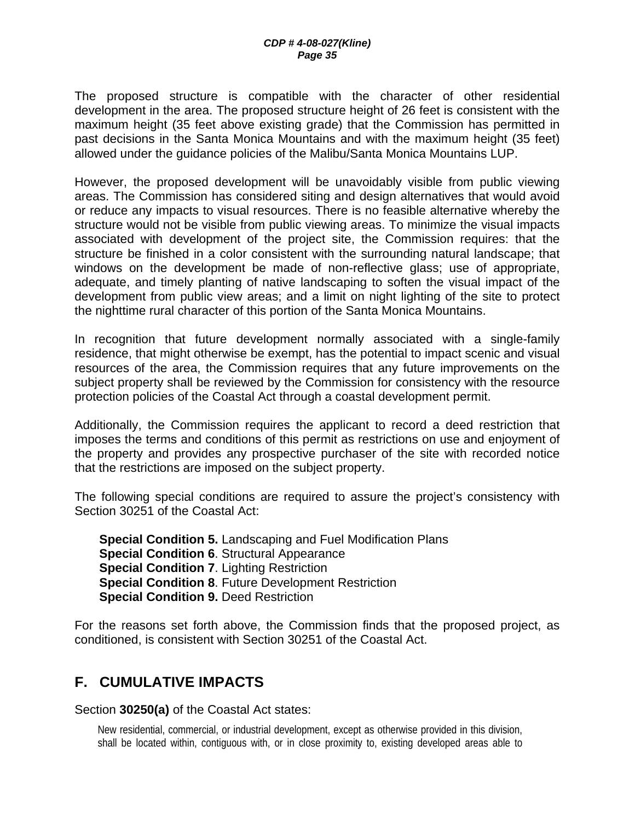The proposed structure is compatible with the character of other residential development in the area. The proposed structure height of 26 feet is consistent with the maximum height (35 feet above existing grade) that the Commission has permitted in past decisions in the Santa Monica Mountains and with the maximum height (35 feet) allowed under the guidance policies of the Malibu/Santa Monica Mountains LUP.

However, the proposed development will be unavoidably visible from public viewing areas. The Commission has considered siting and design alternatives that would avoid or reduce any impacts to visual resources. There is no feasible alternative whereby the structure would not be visible from public viewing areas. To minimize the visual impacts associated with development of the project site, the Commission requires: that the structure be finished in a color consistent with the surrounding natural landscape; that windows on the development be made of non-reflective glass; use of appropriate, adequate, and timely planting of native landscaping to soften the visual impact of the development from public view areas; and a limit on night lighting of the site to protect the nighttime rural character of this portion of the Santa Monica Mountains.

In recognition that future development normally associated with a single-family residence, that might otherwise be exempt, has the potential to impact scenic and visual resources of the area, the Commission requires that any future improvements on the subject property shall be reviewed by the Commission for consistency with the resource protection policies of the Coastal Act through a coastal development permit.

Additionally, the Commission requires the applicant to record a deed restriction that imposes the terms and conditions of this permit as restrictions on use and enjoyment of the property and provides any prospective purchaser of the site with recorded notice that the restrictions are imposed on the subject property.

The following special conditions are required to assure the project's consistency with Section 30251 of the Coastal Act:

**Special Condition 5.** Landscaping and Fuel Modification Plans **Special Condition 6**. Structural Appearance **Special Condition 7**. Lighting Restriction **Special Condition 8**. Future Development Restriction **Special Condition 9.** Deed Restriction

For the reasons set forth above, the Commission finds that the proposed project, as conditioned, is consistent with Section 30251 of the Coastal Act.

## **F. CUMULATIVE IMPACTS**

Section **30250(a)** of the Coastal Act states:

New residential, commercial, or industrial development, except as otherwise provided in this division, shall be located within, contiguous with, or in close proximity to, existing developed areas able to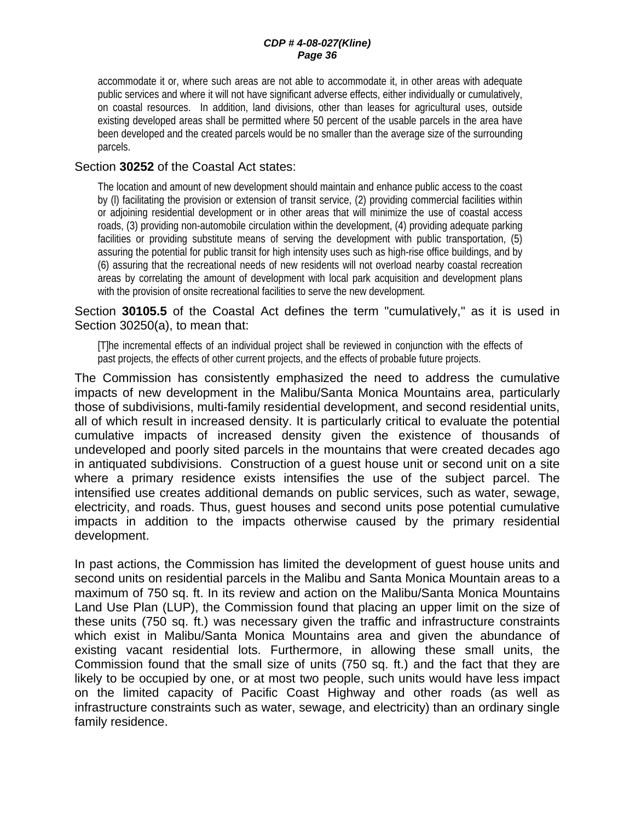#### *CDP # 4-08-027(Kline) Page 36*

accommodate it or, where such areas are not able to accommodate it, in other areas with adequate public services and where it will not have significant adverse effects, either individually or cumulatively, on coastal resources. In addition, land divisions, other than leases for agricultural uses, outside existing developed areas shall be permitted where 50 percent of the usable parcels in the area have been developed and the created parcels would be no smaller than the average size of the surrounding parcels.

#### Section **30252** of the Coastal Act states:

The location and amount of new development should maintain and enhance public access to the coast by (l) facilitating the provision or extension of transit service, (2) providing commercial facilities within or adjoining residential development or in other areas that will minimize the use of coastal access roads, (3) providing non-automobile circulation within the development, (4) providing adequate parking facilities or providing substitute means of serving the development with public transportation, (5) assuring the potential for public transit for high intensity uses such as high-rise office buildings, and by (6) assuring that the recreational needs of new residents will not overload nearby coastal recreation areas by correlating the amount of development with local park acquisition and development plans with the provision of onsite recreational facilities to serve the new development.

Section **30105.5** of the Coastal Act defines the term "cumulatively," as it is used in Section 30250(a), to mean that:

[T]he incremental effects of an individual project shall be reviewed in conjunction with the effects of past projects, the effects of other current projects, and the effects of probable future projects.

The Commission has consistently emphasized the need to address the cumulative impacts of new development in the Malibu/Santa Monica Mountains area, particularly those of subdivisions, multi-family residential development, and second residential units, all of which result in increased density. It is particularly critical to evaluate the potential cumulative impacts of increased density given the existence of thousands of undeveloped and poorly sited parcels in the mountains that were created decades ago in antiquated subdivisions. Construction of a guest house unit or second unit on a site where a primary residence exists intensifies the use of the subject parcel. The intensified use creates additional demands on public services, such as water, sewage, electricity, and roads. Thus, guest houses and second units pose potential cumulative impacts in addition to the impacts otherwise caused by the primary residential development.

In past actions, the Commission has limited the development of guest house units and second units on residential parcels in the Malibu and Santa Monica Mountain areas to a maximum of 750 sq. ft. In its review and action on the Malibu/Santa Monica Mountains Land Use Plan (LUP), the Commission found that placing an upper limit on the size of these units (750 sq. ft.) was necessary given the traffic and infrastructure constraints which exist in Malibu/Santa Monica Mountains area and given the abundance of existing vacant residential lots. Furthermore, in allowing these small units, the Commission found that the small size of units (750 sq. ft.) and the fact that they are likely to be occupied by one, or at most two people, such units would have less impact on the limited capacity of Pacific Coast Highway and other roads (as well as infrastructure constraints such as water, sewage, and electricity) than an ordinary single family residence.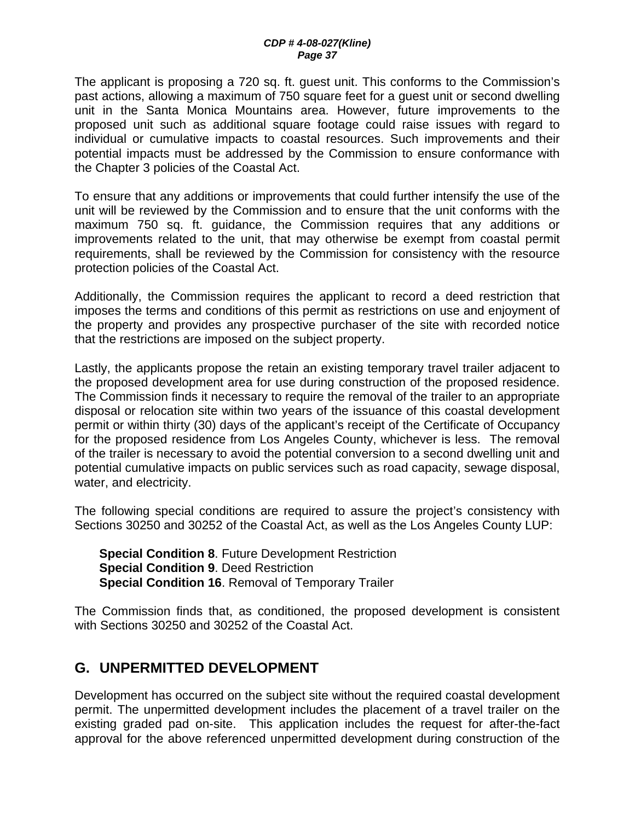The applicant is proposing a 720 sq. ft. guest unit. This conforms to the Commission's past actions, allowing a maximum of 750 square feet for a guest unit or second dwelling unit in the Santa Monica Mountains area. However, future improvements to the proposed unit such as additional square footage could raise issues with regard to individual or cumulative impacts to coastal resources. Such improvements and their potential impacts must be addressed by the Commission to ensure conformance with the Chapter 3 policies of the Coastal Act.

To ensure that any additions or improvements that could further intensify the use of the unit will be reviewed by the Commission and to ensure that the unit conforms with the maximum 750 sq. ft. guidance, the Commission requires that any additions or improvements related to the unit, that may otherwise be exempt from coastal permit requirements, shall be reviewed by the Commission for consistency with the resource protection policies of the Coastal Act.

Additionally, the Commission requires the applicant to record a deed restriction that imposes the terms and conditions of this permit as restrictions on use and enjoyment of the property and provides any prospective purchaser of the site with recorded notice that the restrictions are imposed on the subject property.

Lastly, the applicants propose the retain an existing temporary travel trailer adjacent to the proposed development area for use during construction of the proposed residence. The Commission finds it necessary to require the removal of the trailer to an appropriate disposal or relocation site within two years of the issuance of this coastal development permit or within thirty (30) days of the applicant's receipt of the Certificate of Occupancy for the proposed residence from Los Angeles County, whichever is less. The removal of the trailer is necessary to avoid the potential conversion to a second dwelling unit and potential cumulative impacts on public services such as road capacity, sewage disposal, water, and electricity.

The following special conditions are required to assure the project's consistency with Sections 30250 and 30252 of the Coastal Act, as well as the Los Angeles County LUP:

**Special Condition 8**. Future Development Restriction **Special Condition 9**. Deed Restriction **Special Condition 16**. Removal of Temporary Trailer

The Commission finds that, as conditioned, the proposed development is consistent with Sections 30250 and 30252 of the Coastal Act.

## **G. UNPERMITTED DEVELOPMENT**

Development has occurred on the subject site without the required coastal development permit. The unpermitted development includes the placement of a travel trailer on the existing graded pad on-site. This application includes the request for after-the-fact approval for the above referenced unpermitted development during construction of the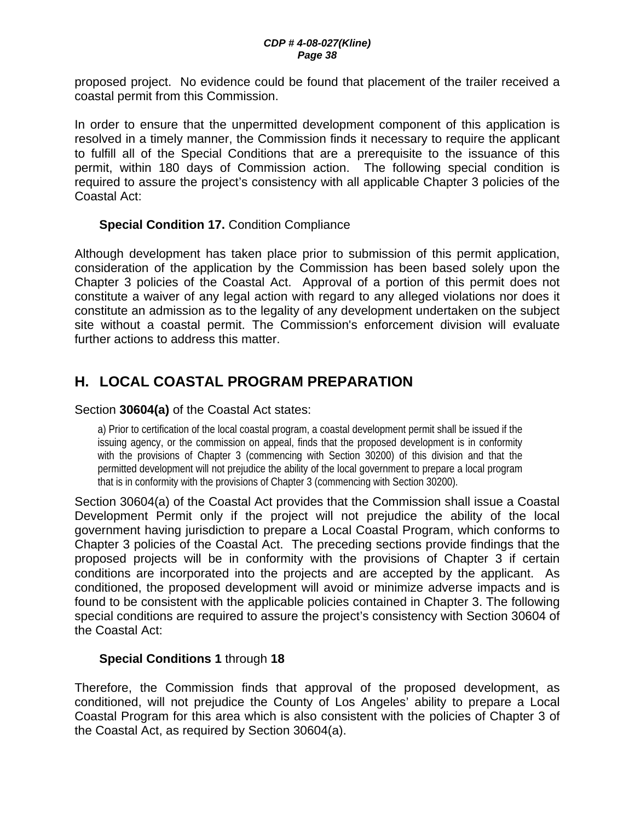proposed project. No evidence could be found that placement of the trailer received a coastal permit from this Commission.

In order to ensure that the unpermitted development component of this application is resolved in a timely manner, the Commission finds it necessary to require the applicant to fulfill all of the Special Conditions that are a prerequisite to the issuance of this permit, within 180 days of Commission action. The following special condition is required to assure the project's consistency with all applicable Chapter 3 policies of the Coastal Act:

## **Special Condition 17.** Condition Compliance

Although development has taken place prior to submission of this permit application, consideration of the application by the Commission has been based solely upon the Chapter 3 policies of the Coastal Act. Approval of a portion of this permit does not constitute a waiver of any legal action with regard to any alleged violations nor does it constitute an admission as to the legality of any development undertaken on the subject site without a coastal permit. The Commission's enforcement division will evaluate further actions to address this matter.

# **H. LOCAL COASTAL PROGRAM PREPARATION**

Section **30604(a)** of the Coastal Act states:

a) Prior to certification of the local coastal program, a coastal development permit shall be issued if the issuing agency, or the commission on appeal, finds that the proposed development is in conformity with the provisions of Chapter 3 (commencing with Section 30200) of this division and that the permitted development will not prejudice the ability of the local government to prepare a local program that is in conformity with the provisions of Chapter 3 (commencing with Section 30200).

Section 30604(a) of the Coastal Act provides that the Commission shall issue a Coastal Development Permit only if the project will not prejudice the ability of the local government having jurisdiction to prepare a Local Coastal Program, which conforms to Chapter 3 policies of the Coastal Act. The preceding sections provide findings that the proposed projects will be in conformity with the provisions of Chapter 3 if certain conditions are incorporated into the projects and are accepted by the applicant. As conditioned, the proposed development will avoid or minimize adverse impacts and is found to be consistent with the applicable policies contained in Chapter 3. The following special conditions are required to assure the project's consistency with Section 30604 of the Coastal Act:

#### **Special Conditions 1** through **18**

Therefore, the Commission finds that approval of the proposed development, as conditioned, will not prejudice the County of Los Angeles' ability to prepare a Local Coastal Program for this area which is also consistent with the policies of Chapter 3 of the Coastal Act, as required by Section 30604(a).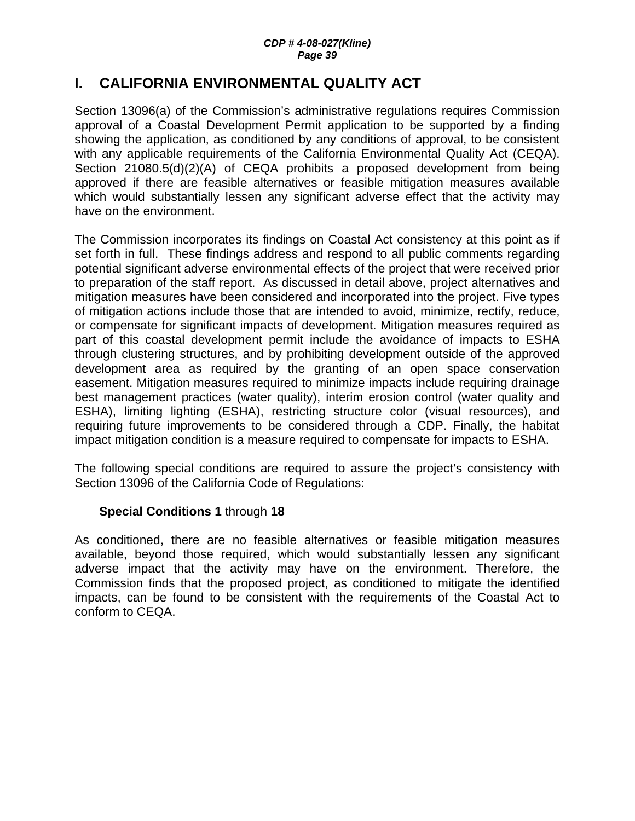## **I. CALIFORNIA ENVIRONMENTAL QUALITY ACT**

Section 13096(a) of the Commission's administrative regulations requires Commission approval of a Coastal Development Permit application to be supported by a finding showing the application, as conditioned by any conditions of approval, to be consistent with any applicable requirements of the California Environmental Quality Act (CEQA). Section 21080.5(d)(2)(A) of CEQA prohibits a proposed development from being approved if there are feasible alternatives or feasible mitigation measures available which would substantially lessen any significant adverse effect that the activity may have on the environment.

The Commission incorporates its findings on Coastal Act consistency at this point as if set forth in full. These findings address and respond to all public comments regarding potential significant adverse environmental effects of the project that were received prior to preparation of the staff report. As discussed in detail above, project alternatives and mitigation measures have been considered and incorporated into the project. Five types of mitigation actions include those that are intended to avoid, minimize, rectify, reduce, or compensate for significant impacts of development. Mitigation measures required as part of this coastal development permit include the avoidance of impacts to ESHA through clustering structures, and by prohibiting development outside of the approved development area as required by the granting of an open space conservation easement. Mitigation measures required to minimize impacts include requiring drainage best management practices (water quality), interim erosion control (water quality and ESHA), limiting lighting (ESHA), restricting structure color (visual resources), and requiring future improvements to be considered through a CDP. Finally, the habitat impact mitigation condition is a measure required to compensate for impacts to ESHA.

The following special conditions are required to assure the project's consistency with Section 13096 of the California Code of Regulations:

#### **Special Conditions 1** through **18**

As conditioned, there are no feasible alternatives or feasible mitigation measures available, beyond those required, which would substantially lessen any significant adverse impact that the activity may have on the environment. Therefore, the Commission finds that the proposed project, as conditioned to mitigate the identified impacts, can be found to be consistent with the requirements of the Coastal Act to conform to CEQA.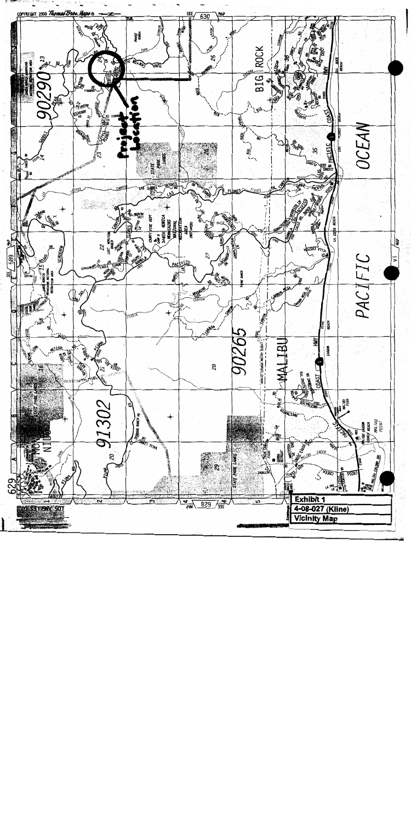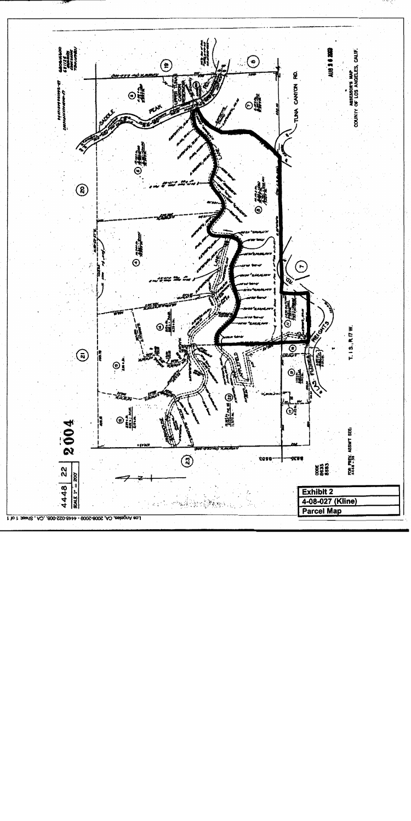

1 to 1 :teen8, A2, 800-SS0-81-11 - 800S-800S A2 ,teeleginA sol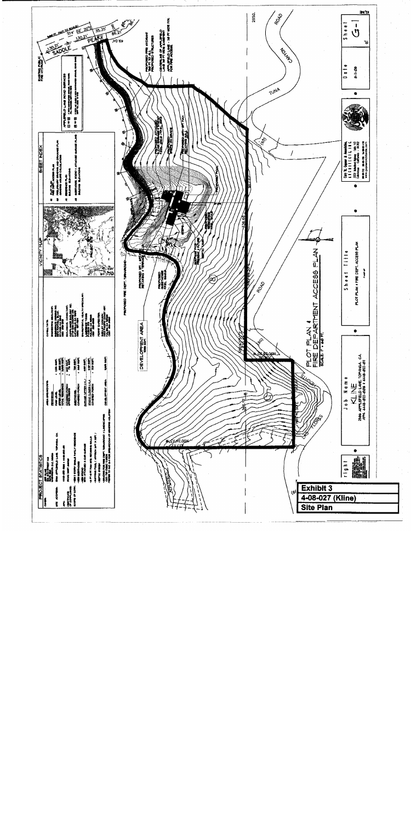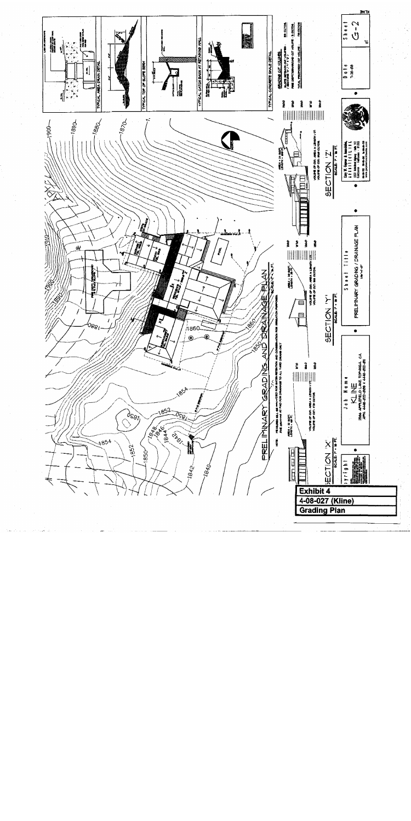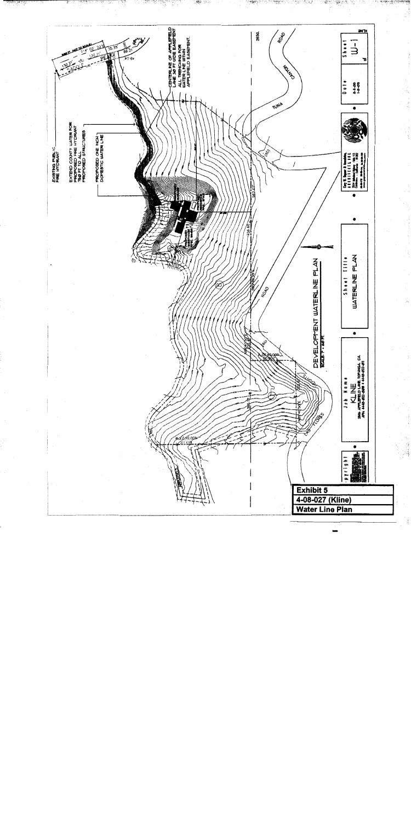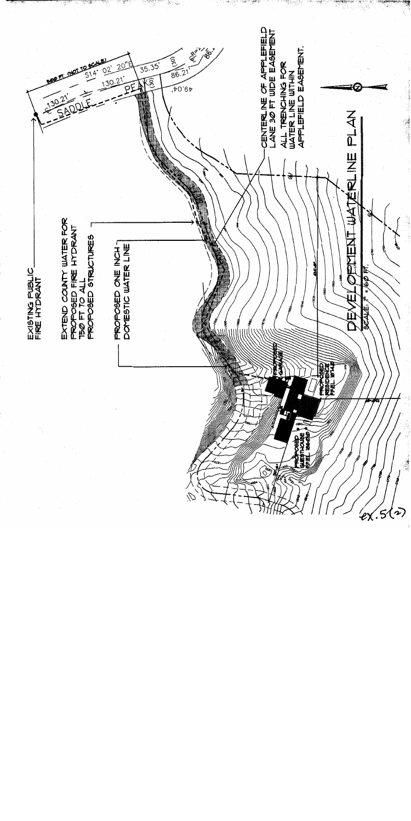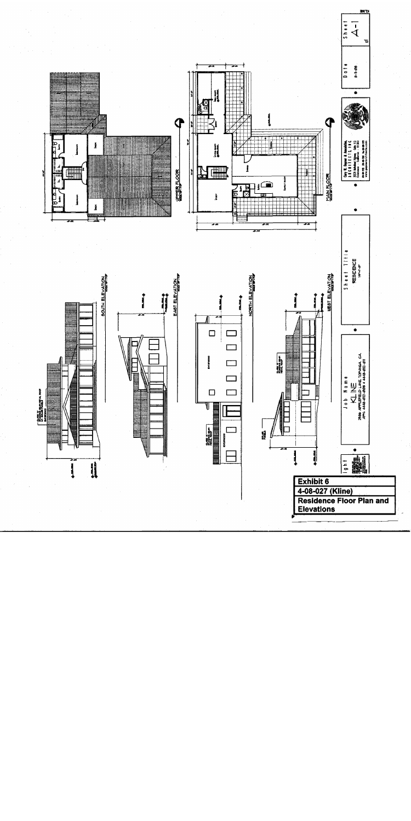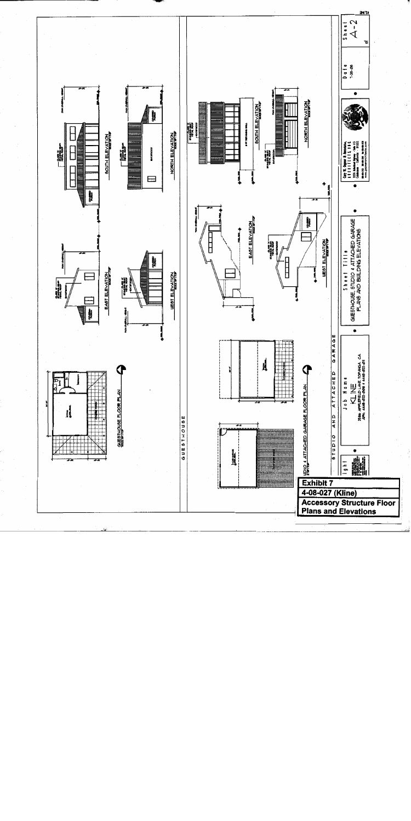